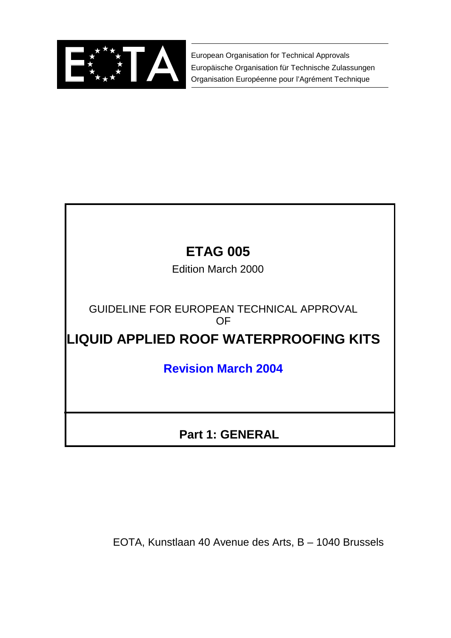

European Organisation for Technical Approvals Europäische Organisation für Technische Zulassungen Organisation Européenne pour l'Agrément Technique

# **ETAG 005**

Edition March 2000

GUIDELINE FOR EUROPEAN TECHNICAL APPROVAL OF

**LIQUID APPLIED ROOF WATERPROOFING KITS**

**Revision March 2004**

# **Part 1: GENERAL**

EOTA, Kunstlaan 40 Avenue des Arts, B – 1040 Brussels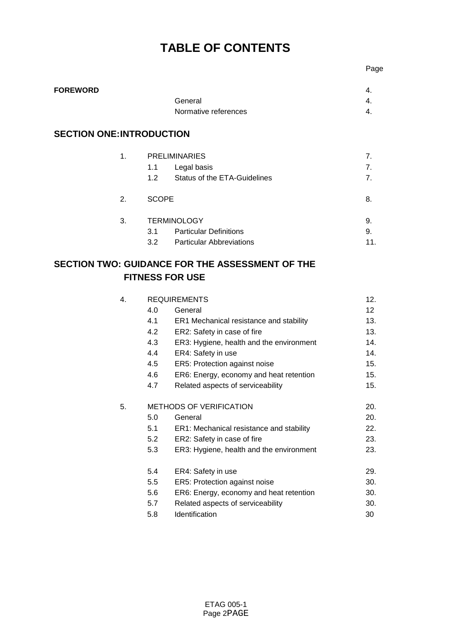# **TABLE OF CONTENTS**

Page

| <b>FOREWORD</b> |                      | 4. |
|-----------------|----------------------|----|
|                 | General              | 4. |
|                 | Normative references | 4. |

# **SECTION ONE:INTRODUCTION**

| 1. | <b>PRELIMINARIES</b><br>Legal basis<br>1.1<br><b>Status of the ETA-Guidelines</b><br>1.2             | 7.<br>7.<br>7. |
|----|------------------------------------------------------------------------------------------------------|----------------|
| 2. | <b>SCOPE</b>                                                                                         | 8.             |
| 3. | <b>TERMINOLOGY</b><br><b>Particular Definitions</b><br>3.1<br><b>Particular Abbreviations</b><br>3.2 | 9.<br>9.       |

# **SECTION TWO: GUIDANCE FOR THE ASSESSMENT OF THE FITNESS FOR USE**

| 4. |     | <b>REQUIREMENTS</b>                      |                 |
|----|-----|------------------------------------------|-----------------|
|    | 4.0 | General                                  | 12 <sub>2</sub> |
|    | 4.1 | ER1 Mechanical resistance and stability  | 13.             |
|    | 4.2 | ER2: Safety in case of fire              | 13.             |
|    | 4.3 | ER3: Hygiene, health and the environment | 14.             |
|    | 4.4 | ER4: Safety in use                       | 14.             |
|    | 4.5 | ER5: Protection against noise            | 15.             |
|    | 4.6 | ER6: Energy, economy and heat retention  | 15.             |
|    | 4.7 | Related aspects of serviceability        | 15.             |
| 5. |     | <b>METHODS OF VERIFICATION</b>           | 20.             |
|    | 5.0 | General                                  | 20.             |
|    | 5.1 | ER1: Mechanical resistance and stability | 22.             |
|    | 5.2 | ER2: Safety in case of fire              | 23.             |
|    | 5.3 | ER3: Hygiene, health and the environment | 23.             |
|    | 5.4 | ER4: Safety in use                       | 29.             |
|    | 5.5 | ER5: Protection against noise            | 30.             |
|    | 5.6 | ER6: Energy, economy and heat retention  | 30.             |
|    | 5.7 | Related aspects of serviceability        | 30.             |
|    | 5.8 | Identification                           | 30              |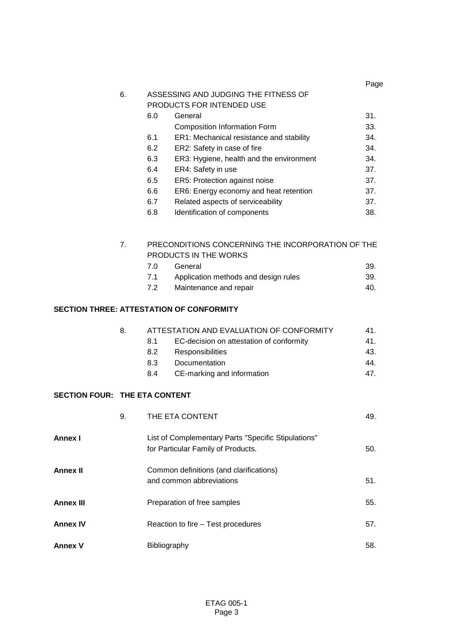|    |     |                                                   | Page |
|----|-----|---------------------------------------------------|------|
| 6. |     | ASSESSING AND JUDGING THE FITNESS OF              |      |
|    |     | PRODUCTS FOR INTENDED USE                         |      |
|    | 6.0 | General                                           | 31.  |
|    |     | <b>Composition Information Form</b>               | 33.  |
|    | 6.1 | ER1: Mechanical resistance and stability          | 34.  |
|    | 6.2 | ER2: Safety in case of fire                       | 34.  |
|    | 6.3 | ER3: Hygiene, health and the environment          | 34.  |
|    | 6.4 | ER4: Safety in use                                | 37.  |
|    | 6.5 | ER5: Protection against noise                     | 37.  |
|    | 6.6 | ER6: Energy economy and heat retention            | 37.  |
|    | 6.7 | Related aspects of serviceability                 | 37.  |
|    | 6.8 | Identification of components                      | 38.  |
|    |     |                                                   |      |
|    |     |                                                   |      |
| 7  |     | PRECONDITIONS CONCERNING THE INCORPORATION OF THE |      |

# 7. PRECONDITIONS CONCERNING THE INCORPORATION OF THE PRODUCTS IN THE WORKS

| 7.0 | General                              | 39. |
|-----|--------------------------------------|-----|
| 7.1 | Application methods and design rules | 39. |
| 7.2 | Maintenance and repair               | 40. |

## **SECTION THREE: ATTESTATION OF CONFORMITY**

| 8. |     | ATTESTATION AND EVALUATION OF CONFORMITY | 41. |
|----|-----|------------------------------------------|-----|
|    | 8.1 | EC-decision on attestation of conformity | 41. |
|    | 8.2 | <b>Responsibilities</b>                  | 43. |
|    | 8.3 | Documentation                            | 44. |
|    | 8.4 | CE-marking and information               | 47  |
|    |     |                                          |     |

# **SECTION FOUR: THE ETA CONTENT**

|                 | 9. | THE ETA CONTENT                                                                           | 49. |
|-----------------|----|-------------------------------------------------------------------------------------------|-----|
| Annex I         |    | List of Complementary Parts "Specific Stipulations"<br>for Particular Family of Products. | 50. |
| Annex II        |    | Common definitions (and clarifications)<br>and common abbreviations                       | 51. |
| Annex III       |    | Preparation of free samples                                                               | 55. |
| <b>Annex IV</b> |    | Reaction to fire – Test procedures                                                        | 57. |
| Annex V         |    | Bibliography                                                                              | 58. |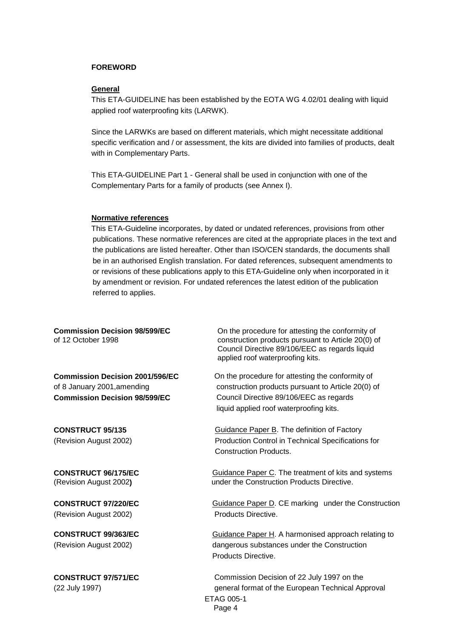#### **FOREWORD**

#### **General**

This ETA-GUIDELINE has been established by the EOTA WG 4.02/01 dealing with liquid applied roof waterproofing kits (LARWK).

Since the LARWKs are based on different materials, which might necessitate additional specific verification and / or assessment, the kits are divided into families of products, dealt with in Complementary Parts.

This ETA-GUIDELINE Part 1 - General shall be used in conjunction with one of the Complementary Parts for a family of products (see Annex I).

#### **Normative references**

This ETA-Guideline incorporates, by dated or undated references, provisions from other publications. These normative references are cited at the appropriate places in the text and the publications are listed hereafter. Other than ISO/CEN standards, the documents shall be in an authorised English translation. For dated references, subsequent amendments to or revisions of these publications apply to this ETA-Guideline only when incorporated in it by amendment or revision. For undated references the latest edition of the publication referred to applies.

(Revision August 2002) The Products Directive.

**Commission Decision 98/599/EC** On the procedure for attesting the conformity of of 12 October 1998 construction products pursuant to Article 20(0) of Council Directive 89/106/EEC as regards liquid applied roof waterproofing kits.

**Commission Decision 2001/596/EC** On the procedure for attesting the conformity of of 8 January 2001,amending construction products pursuant to Article 20(0) of **Commission Decision 98/599/EC** Council Directive 89/106/EEC as regards liquid applied roof waterproofing kits.

**CONSTRUCT 95/135** Guidance Paper B. The definition of Factory (Revision August 2002) Production Control in Technical Specifications for Construction Products.

**CONSTRUCT 96/175/EC Guidance Paper C. The treatment of kits and systems** (Revision August 2002**)** under the Construction Products Directive.

**CONSTRUCT 97/220/EC** Guidance Paper D. CE marking under the Construction

**CONSTRUCT 99/363/EC** Guidance Paper H. A harmonised approach relating to (Revision August 2002) dangerous substances under the Construction Products Directive.

ETAG 005-1 Page 4 **CONSTRUCT 97/571/EC** Commission Decision of 22 July 1997 on the (22 July 1997) general format of the European Technical Approval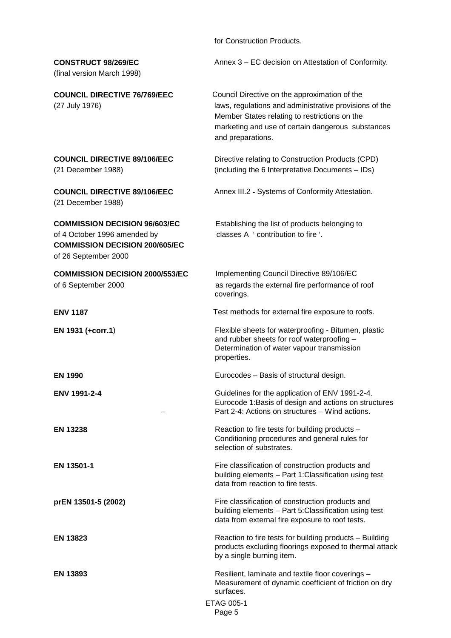| <b>CONSTRUCT 98/269/EC</b><br>(final version March 1998)                                                                              | Annex 3 – EC decision on Attestation of Conformity.                                                                                                                                                                                |
|---------------------------------------------------------------------------------------------------------------------------------------|------------------------------------------------------------------------------------------------------------------------------------------------------------------------------------------------------------------------------------|
| <b>COUNCIL DIRECTIVE 76/769/EEC</b><br>(27 July 1976)                                                                                 | Council Directive on the approximation of the<br>laws, regulations and administrative provisions of the<br>Member States relating to restrictions on the<br>marketing and use of certain dangerous substances<br>and preparations. |
| <b>COUNCIL DIRECTIVE 89/106/EEC</b><br>(21 December 1988)                                                                             | Directive relating to Construction Products (CPD)<br>(including the 6 Interpretative Documents - IDs)                                                                                                                              |
| <b>COUNCIL DIRECTIVE 89/106/EEC</b><br>(21 December 1988)                                                                             | Annex III.2 - Systems of Conformity Attestation.                                                                                                                                                                                   |
| <b>COMMISSION DECISION 96/603/EC</b><br>of 4 October 1996 amended by<br><b>COMMISSION DECISION 200/605/EC</b><br>of 26 September 2000 | Establishing the list of products belonging to<br>classes A ' contribution to fire '.                                                                                                                                              |
| <b>COMMISSION DECISION 2000/553/EC</b><br>of 6 September 2000                                                                         | Implementing Council Directive 89/106/EC<br>as regards the external fire performance of roof<br>coverings.                                                                                                                         |
| <b>ENV 1187</b>                                                                                                                       | Test methods for external fire exposure to roofs.                                                                                                                                                                                  |
| EN 1931 (+corr.1)                                                                                                                     | Flexible sheets for waterproofing - Bitumen, plastic<br>and rubber sheets for roof waterproofing -<br>Determination of water vapour transmission<br>properties.                                                                    |
| <b>EN 1990</b>                                                                                                                        | Eurocodes - Basis of structural design.                                                                                                                                                                                            |
| ENV 1991-2-4                                                                                                                          | Guidelines for the application of ENV 1991-2-4.<br>Eurocode 1: Basis of design and actions on structures<br>Part 2-4: Actions on structures - Wind actions.                                                                        |
| <b>EN 13238</b>                                                                                                                       | Reaction to fire tests for building products -<br>Conditioning procedures and general rules for<br>selection of substrates.                                                                                                        |
| EN 13501-1                                                                                                                            | Fire classification of construction products and<br>building elements - Part 1: Classification using test<br>data from reaction to fire tests.                                                                                     |
| prEN 13501-5 (2002)                                                                                                                   | Fire classification of construction products and<br>building elements - Part 5: Classification using test<br>data from external fire exposure to roof tests.                                                                       |
| <b>EN 13823</b>                                                                                                                       | Reaction to fire tests for building products - Building<br>products excluding floorings exposed to thermal attack<br>by a single burning item.                                                                                     |
| EN 13893                                                                                                                              | Resilient, laminate and textile floor coverings -<br>Measurement of dynamic coefficient of friction on dry<br>surfaces.                                                                                                            |
|                                                                                                                                       | ETAG 005-1<br>Page 5                                                                                                                                                                                                               |

for Construction Products.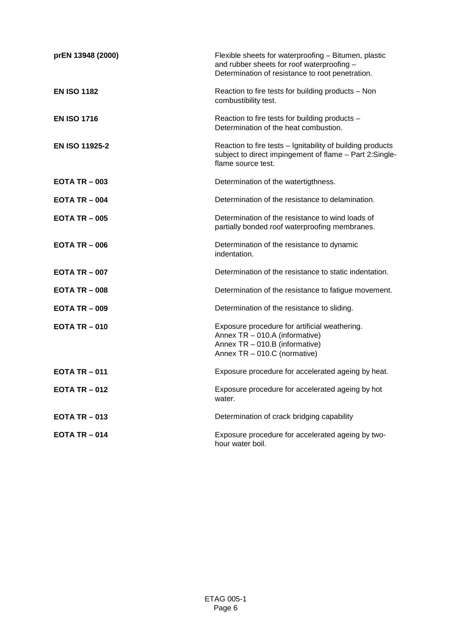| prEN 13948 (2000)     | Flexible sheets for waterproofing - Bitumen, plastic<br>and rubber sheets for roof waterproofing -<br>Determination of resistance to root penetration. |
|-----------------------|--------------------------------------------------------------------------------------------------------------------------------------------------------|
| <b>EN ISO 1182</b>    | Reaction to fire tests for building products - Non<br>combustibility test.                                                                             |
| <b>EN ISO 1716</b>    | Reaction to fire tests for building products -<br>Determination of the heat combustion.                                                                |
| <b>EN ISO 11925-2</b> | Reaction to fire tests - Ignitability of building products<br>subject to direct impingement of flame - Part 2:Single-<br>flame source test.            |
| EOTA TR $-003$        | Determination of the watertigthness.                                                                                                                   |
| <b>EOTA TR-004</b>    | Determination of the resistance to delamination.                                                                                                       |
| <b>EOTA TR-005</b>    | Determination of the resistance to wind loads of<br>partially bonded roof waterproofing membranes.                                                     |
| EOTA TR $-006$        | Determination of the resistance to dynamic<br>indentation.                                                                                             |
| <b>EOTA TR-007</b>    | Determination of the resistance to static indentation.                                                                                                 |
| <b>EOTA TR-008</b>    | Determination of the resistance to fatigue movement.                                                                                                   |
| <b>EOTA TR-009</b>    | Determination of the resistance to sliding.                                                                                                            |
| <b>EOTA TR-010</b>    | Exposure procedure for artificial weathering.<br>Annex TR - 010.A (informative)<br>Annex TR - 010.B (informative)<br>Annex TR - 010.C (normative)      |
| <b>EOTA TR-011</b>    | Exposure procedure for accelerated ageing by heat.                                                                                                     |
| $EOTA TR - 012$       | Exposure procedure for accelerated ageing by hot<br>water.                                                                                             |
| EOTA TR $-013$        | Determination of crack bridging capability                                                                                                             |
| <b>EOTA TR-014</b>    | Exposure procedure for accelerated ageing by two-<br>hour water boil.                                                                                  |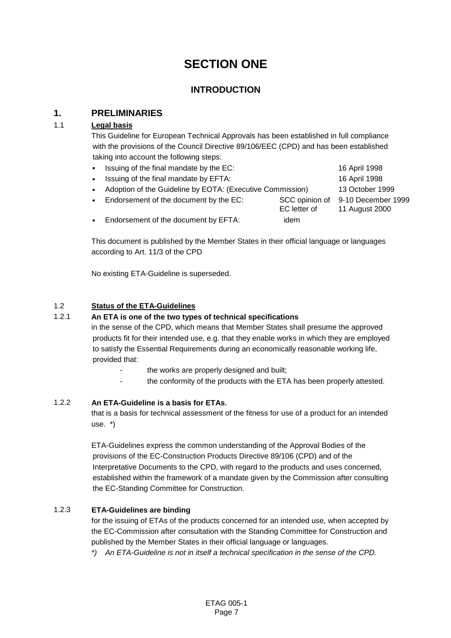# **SECTION ONE**

# **INTRODUCTION**

# **1. PRELIMINARIES**

## 1.1 **Legal basis**

This Guideline for European Technical Approvals has been established in full compliance with the provisions of the Council Directive 89/106/EEC (CPD) and has been established taking into account the following steps:

- Issuing of the final mandate by the EC: 16 April 1998
- Issuing of the final mandate by EFTA: 16 April 1998
- Adoption of the Guideline by EOTA: (Executive Commission) 13 October 1999
- Endorsement of the document by the EC: SCC opinion of 9-10 December 1999
- Endorsement of the document by EFTA: idem

This document is published by the Member States in their official language or languages according to Art. 11/3 of the CPD

No existing ETA-Guideline is superseded.

## 1.2 **Status of the ETA-Guidelines**

## 1.2.1 **An ETA is one of the two types of technical specifications**

in the sense of the CPD, which means that Member States shall presume the approved products fit for their intended use, e.g. that they enable works in which they are employed to satisfy the Essential Requirements during an economically reasonable working life, provided that:

- the works are properly designed and built:
- the conformity of the products with the ETA has been properly attested.

## 1.2.2 **An ETA-Guideline is a basis for ETAs**,

that is a basis for technical assessment of the fitness for use of a product for an intended use. \*)

ETA-Guidelines express the common understanding of the Approval Bodies of the provisions of the EC-Construction Products Directive 89/106 (CPD) and of the Interpretative Documents to the CPD, with regard to the products and uses concerned, established within the framework of a mandate given by the Commission after consulting the EC-Standing Committee for Construction.

## 1.2.3 **ETA-Guidelines are binding**

for the issuing of ETAs of the products concerned for an intended use, when accepted by the EC-Commission after consultation with the Standing Committee for Construction and published by the Member States in their official language or languages.

*\*) An ETA-Guideline is not in itself a technical specification in the sense of the CPD.*

11 August 2000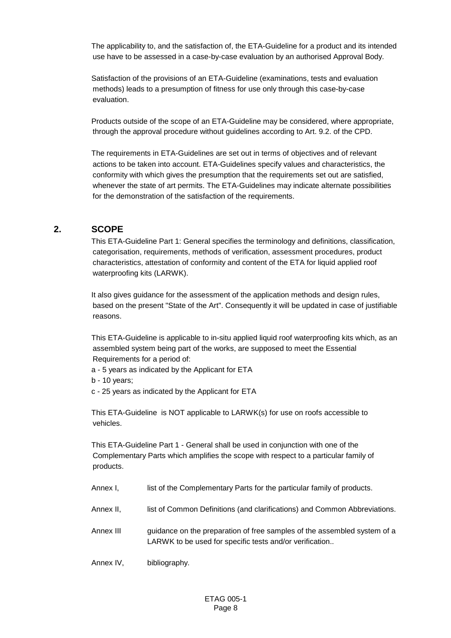The applicability to, and the satisfaction of, the ETA-Guideline for a product and its intended use have to be assessed in a case-by-case evaluation by an authorised Approval Body.

Satisfaction of the provisions of an ETA-Guideline (examinations, tests and evaluation methods) leads to a presumption of fitness for use only through this case-by-case evaluation.

Products outside of the scope of an ETA-Guideline may be considered, where appropriate, through the approval procedure without guidelines according to Art. 9.2. of the CPD.

The requirements in ETA-Guidelines are set out in terms of objectives and of relevant actions to be taken into account. ETA-Guidelines specify values and characteristics, the conformity with which gives the presumption that the requirements set out are satisfied, whenever the state of art permits. The ETA-Guidelines may indicate alternate possibilities for the demonstration of the satisfaction of the requirements.

## **2. SCOPE**

This ETA-Guideline Part 1: General specifies the terminology and definitions, classification, categorisation, requirements, methods of verification, assessment procedures, product characteristics, attestation of conformity and content of the ETA for liquid applied roof waterproofing kits (LARWK).

It also gives guidance for the assessment of the application methods and design rules, based on the present "State of the Art". Consequently it will be updated in case of justifiable reasons.

This ETA-Guideline is applicable to in-situ applied liquid roof waterproofing kits which, as an assembled system being part of the works, are supposed to meet the Essential Requirements for a period of:

a - 5 years as indicated by the Applicant for ETA

b - 10 years;

c - 25 years as indicated by the Applicant for ETA

This ETA-Guideline is NOT applicable to LARWK(s) for use on roofs accessible to vehicles.

This ETA-Guideline Part 1 - General shall be used in conjunction with one of the Complementary Parts which amplifies the scope with respect to a particular family of products.

- Annex I, list of the Complementary Parts for the particular family of products.
- Annex II, list of Common Definitions (and clarifications) and Common Abbreviations.
- Annex III guidance on the preparation of free samples of the assembled system of a LARWK to be used for specific tests and/or verification..

Annex IV, bibliography.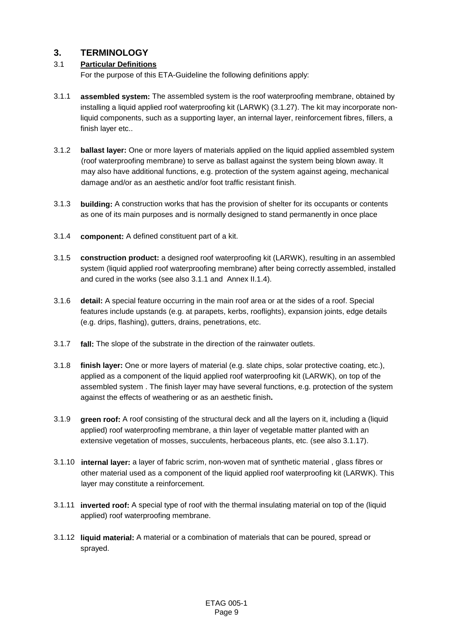# **3. TERMINOLOGY**

## 3.1 **Particular Definitions**

For the purpose of this ETA-Guideline the following definitions apply:

- 3.1.1 **assembled system:** The assembled system is the roof waterproofing membrane, obtained by installing a liquid applied roof waterproofing kit (LARWK) (3.1.27). The kit may incorporate nonliquid components, such as a supporting layer, an internal layer, reinforcement fibres, fillers, a finish layer etc..
- 3.1.2 **ballast layer:** One or more layers of materials applied on the liquid applied assembled system (roof waterproofing membrane) to serve as ballast against the system being blown away. It may also have additional functions, e.g. protection of the system against ageing, mechanical damage and/or as an aesthetic and/or foot traffic resistant finish.
- 3.1.3 **building:** A construction works that has the provision of shelter for its occupants or contents as one of its main purposes and is normally designed to stand permanently in once place
- 3.1.4 **component:** A defined constituent part of a kit.
- 3.1.5 **construction product:** a designed roof waterproofing kit (LARWK), resulting in an assembled system (liquid applied roof waterproofing membrane) after being correctly assembled, installed and cured in the works (see also 3.1.1 and Annex II.1.4).
- 3.1.6 **detail:** A special feature occurring in the main roof area or at the sides of a roof. Special features include upstands (e.g. at parapets, kerbs, rooflights), expansion joints, edge details (e.g. drips, flashing), gutters, drains, penetrations, etc.
- 3.1.7 **fall:** The slope of the substrate in the direction of the rainwater outlets.
- 3.1.8 **finish layer:** One or more layers of material (e.g. slate chips, solar protective coating, etc.), applied as a component of the liquid applied roof waterproofing kit (LARWK), on top of the assembled system . The finish layer may have several functions, e.g. protection of the system against the effects of weathering or as an aesthetic finish**.**
- 3.1.9 **green roof:** A roof consisting of the structural deck and all the layers on it, including a (liquid applied) roof waterproofing membrane, a thin layer of vegetable matter planted with an extensive vegetation of mosses, succulents, herbaceous plants, etc. (see also 3.1.17).
- 3.1.10 **internal layer:** a layer of fabric scrim, non-woven mat of synthetic material , glass fibres or other material used as a component of the liquid applied roof waterproofing kit (LARWK). This layer may constitute a reinforcement.
- 3.1.11 **inverted roof:** A special type of roof with the thermal insulating material on top of the (liquid applied) roof waterproofing membrane.
- 3.1.12 **liquid material:** A material or a combination of materials that can be poured, spread or sprayed.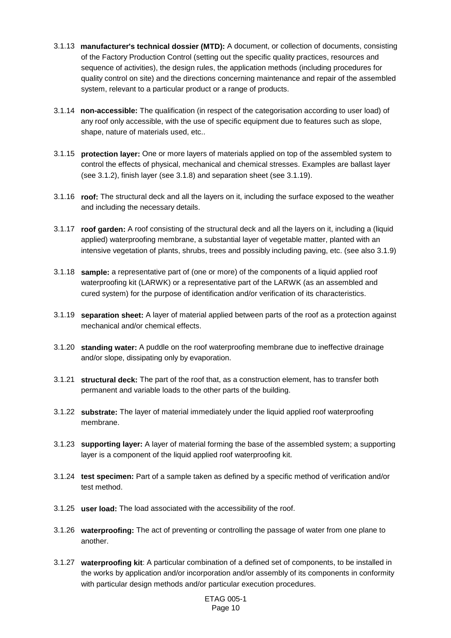- 3.1.13 **manufacturer's technical dossier (MTD):** A document, or collection of documents, consisting of the Factory Production Control (setting out the specific quality practices, resources and sequence of activities), the design rules, the application methods (including procedures for quality control on site) and the directions concerning maintenance and repair of the assembled system, relevant to a particular product or a range of products.
- 3.1.14 **non-accessible:** The qualification (in respect of the categorisation according to user load) of any roof only accessible, with the use of specific equipment due to features such as slope, shape, nature of materials used, etc..
- 3.1.15 **protection layer:** One or more layers of materials applied on top of the assembled system to control the effects of physical, mechanical and chemical stresses. Examples are ballast layer (see 3.1.2), finish layer (see 3.1.8) and separation sheet (see 3.1.19).
- 3.1.16 **roof:** The structural deck and all the layers on it, including the surface exposed to the weather and including the necessary details.
- 3.1.17 **roof garden:** A roof consisting of the structural deck and all the layers on it, including a (liquid applied) waterproofing membrane, a substantial layer of vegetable matter, planted with an intensive vegetation of plants, shrubs, trees and possibly including paving, etc. (see also 3.1.9)
- 3.1.18 **sample:** a representative part of (one or more) of the components of a liquid applied roof waterproofing kit (LARWK) or a representative part of the LARWK (as an assembled and cured system) for the purpose of identification and/or verification of its characteristics.
- 3.1.19 **separation sheet:** A layer of material applied between parts of the roof as a protection against mechanical and/or chemical effects.
- 3.1.20 **standing water:** A puddle on the roof waterproofing membrane due to ineffective drainage and/or slope, dissipating only by evaporation.
- 3.1.21 **structural deck:** The part of the roof that, as a construction element, has to transfer both permanent and variable loads to the other parts of the building.
- 3.1.22 **substrate:** The layer of material immediately under the liquid applied roof waterproofing membrane.
- 3.1.23 **supporting layer:** A layer of material forming the base of the assembled system; a supporting layer is a component of the liquid applied roof waterproofing kit.
- 3.1.24 **test specimen:** Part of a sample taken as defined by a specific method of verification and/or test method.
- 3.1.25 **user load:** The load associated with the accessibility of the roof.
- 3.1.26 **waterproofing:** The act of preventing or controlling the passage of water from one plane to another.
- 3.1.27 **waterproofing kit**: A particular combination of a defined set of components, to be installed in the works by application and/or incorporation and/or assembly of its components in conformity with particular design methods and/or particular execution procedures.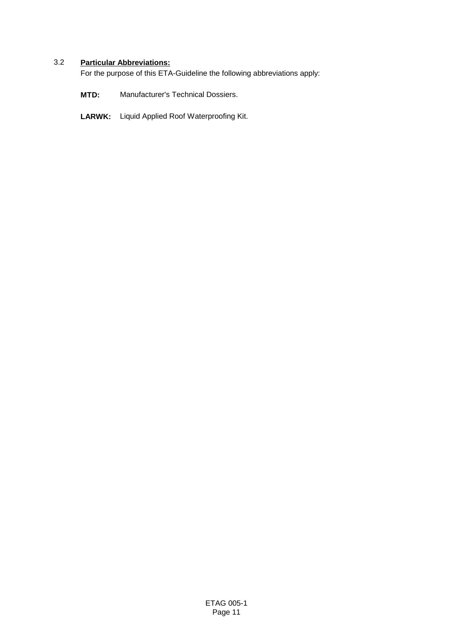## 3.2 **Particular Abbreviations:**

For the purpose of this ETA-Guideline the following abbreviations apply:

**MTD:** Manufacturer's Technical Dossiers.

**LARWK:** Liquid Applied Roof Waterproofing Kit.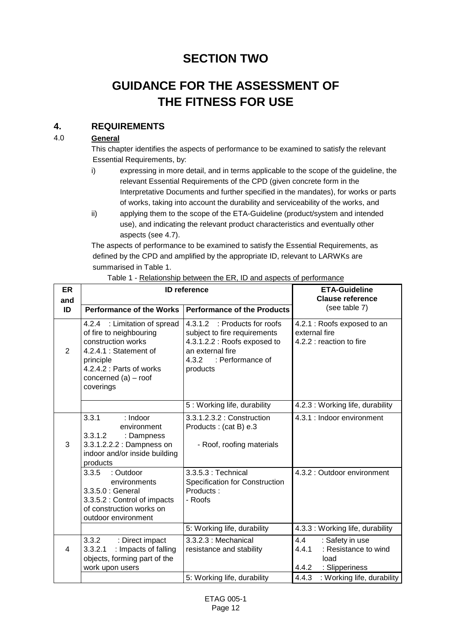# **SECTION TWO**

# **GUIDANCE FOR THE ASSESSMENT OF THE FITNESS FOR USE**

# **4. REQUIREMENTS**

## 4.0 **General**

This chapter identifies the aspects of performance to be examined to satisfy the relevant Essential Requirements, by:

- i) expressing in more detail, and in terms applicable to the scope of the guideline, the relevant Essential Requirements of the CPD (given concrete form in the Interpretative Documents and further specified in the mandates), for works or parts of works, taking into account the durability and serviceability of the works, and
- ii) applying them to the scope of the ETA-Guideline (product/system and intended use), and indicating the relevant product characteristics and eventually other aspects (see 4.7).

The aspects of performance to be examined to satisfy the Essential Requirements, as defined by the CPD and amplified by the appropriate ID, relevant to LARWKs are summarised in Table 1.

| <b>ER</b><br>and |                                                                                                                                                                                         | <b>ID</b> reference                                                                                                                                       | <b>ETA-Guideline</b><br><b>Clause reference</b>                                            |  |
|------------------|-----------------------------------------------------------------------------------------------------------------------------------------------------------------------------------------|-----------------------------------------------------------------------------------------------------------------------------------------------------------|--------------------------------------------------------------------------------------------|--|
| ID               | Performance of the Works                                                                                                                                                                | <b>Performance of the Products</b>                                                                                                                        | (see table 7)                                                                              |  |
| 2                | 4.2.4 : Limitation of spread<br>of fire to neighbouring<br>construction works<br>4.2.4.1 : Statement of<br>principle<br>4.2.4.2 : Parts of works<br>concerned $(a) - root$<br>coverings | 4.3.1.2 : Products for roofs<br>subject to fire requirements<br>4.3.1.2.2 : Roofs exposed to<br>an external fire<br>4.3.2<br>: Performance of<br>products | 4.2.1 : Roofs exposed to an<br>external fire<br>4.2.2 : reaction to fire                   |  |
|                  |                                                                                                                                                                                         | 5 : Working life, durability                                                                                                                              | 4.2.3 : Working life, durability                                                           |  |
| 3                | 3.3.1<br>: Indoor<br>environment<br>3.3.1.2<br>: Dampness<br>3.3.1.2.2.2 : Dampness on<br>indoor and/or inside building<br>products                                                     | 3.3.1.2.3.2 : Construction<br>Products: (cat B) e.3<br>- Roof, roofing materials                                                                          | 4.3.1 : Indoor environment                                                                 |  |
|                  | 3.3.5<br>: Outdoor<br>environments<br>3.3.5.0 : General<br>3.3.5.2 : Control of impacts<br>of construction works on<br>outdoor environment                                              | 3.3.5.3 : Technical<br><b>Specification for Construction</b><br>Products:<br>- Roofs                                                                      | 4.3.2 : Outdoor environment                                                                |  |
|                  |                                                                                                                                                                                         | 5: Working life, durability                                                                                                                               | 4.3.3 : Working life, durability                                                           |  |
| 4                | 3.3.2<br>: Direct impact<br>: Impacts of falling<br>3.3.2.1<br>objects, forming part of the<br>work upon users                                                                          | 3.3.2.3 : Mechanical<br>resistance and stability                                                                                                          | : Safety in use<br>4.4<br>4.4.1<br>: Resistance to wind<br>load<br>: Slipperiness<br>4.4.2 |  |
|                  |                                                                                                                                                                                         | 5: Working life, durability                                                                                                                               | 4.4.3<br>: Working life, durability                                                        |  |

## Table 1 - Relationship between the ER, ID and aspects of performance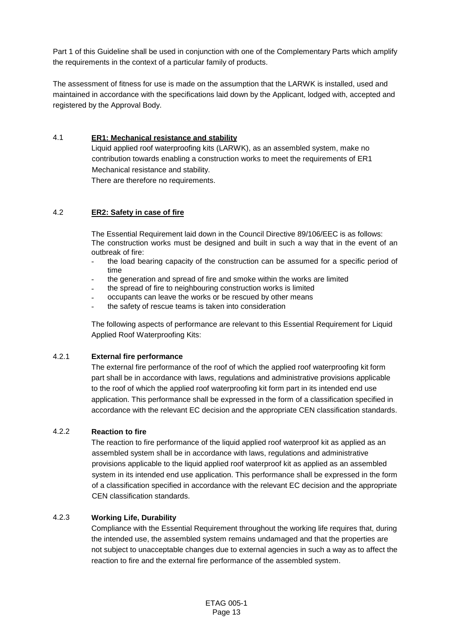Part 1 of this Guideline shall be used in conjunction with one of the Complementary Parts which amplify the requirements in the context of a particular family of products.

The assessment of fitness for use is made on the assumption that the LARWK is installed, used and maintained in accordance with the specifications laid down by the Applicant, lodged with, accepted and registered by the Approval Body.

## 4.1 **ER1: Mechanical resistance and stability**

Liquid applied roof waterproofing kits (LARWK), as an assembled system, make no contribution towards enabling a construction works to meet the requirements of ER1 Mechanical resistance and stability.

There are therefore no requirements.

## 4.2 **ER2: Safety in case of fire**

The Essential Requirement laid down in the Council Directive 89/106/EEC is as follows: The construction works must be designed and built in such a way that in the event of an outbreak of fire:

- the load bearing capacity of the construction can be assumed for a specific period of time
- the generation and spread of fire and smoke within the works are limited
- the spread of fire to neighbouring construction works is limited
- occupants can leave the works or be rescued by other means
- the safety of rescue teams is taken into consideration

The following aspects of performance are relevant to this Essential Requirement for Liquid Applied Roof Waterproofing Kits:

## 4.2.1 **External fire performance**

The external fire performance of the roof of which the applied roof waterproofing kit form part shall be in accordance with laws, regulations and administrative provisions applicable to the roof of which the applied roof waterproofing kit form part in its intended end use application. This performance shall be expressed in the form of a classification specified in accordance with the relevant EC decision and the appropriate CEN classification standards.

## 4.2.2 **Reaction to fire**

The reaction to fire performance of the liquid applied roof waterproof kit as applied as an assembled system shall be in accordance with laws, regulations and administrative provisions applicable to the liquid applied roof waterproof kit as applied as an assembled system in its intended end use application. This performance shall be expressed in the form of a classification specified in accordance with the relevant EC decision and the appropriate CEN classification standards.

## 4.2.3 **Working Life, Durability**

Compliance with the Essential Requirement throughout the working life requires that, during the intended use, the assembled system remains undamaged and that the properties are not subject to unacceptable changes due to external agencies in such a way as to affect the reaction to fire and the external fire performance of the assembled system.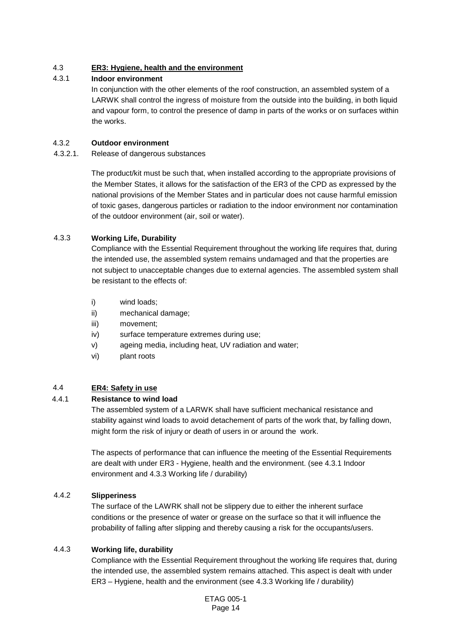## 4.3 **ER3: Hygiene, health and the environment**

## 4.3.1 **Indoor environment**

In conjunction with the other elements of the roof construction, an assembled system of a LARWK shall control the ingress of moisture from the outside into the building, in both liquid and vapour form, to control the presence of damp in parts of the works or on surfaces within the works.

## 4.3.2 **Outdoor environment**

## 4.3.2.1. Release of dangerous substances

The product/kit must be such that, when installed according to the appropriate provisions of the Member States, it allows for the satisfaction of the ER3 of the CPD as expressed by the national provisions of the Member States and in particular does not cause harmful emission of toxic gases, dangerous particles or radiation to the indoor environment nor contamination of the outdoor environment (air, soil or water).

## 4.3.3 **Working Life, Durability**

Compliance with the Essential Requirement throughout the working life requires that, during the intended use, the assembled system remains undamaged and that the properties are not subject to unacceptable changes due to external agencies. The assembled system shall be resistant to the effects of:

- i) wind loads;
- ii) mechanical damage;
- iii) movement;
- iv) surface temperature extremes during use;
- v) ageing media, including heat, UV radiation and water;
- vi) plant roots

## 4.4 **ER4: Safety in use**

## 4.4.1 **Resistance to wind load**

The assembled system of a LARWK shall have sufficient mechanical resistance and stability against wind loads to avoid detachement of parts of the work that, by falling down, might form the risk of injury or death of users in or around the work.

The aspects of performance that can influence the meeting of the Essential Requirements are dealt with under ER3 - Hygiene, health and the environment. (see 4.3.1 Indoor environment and 4.3.3 Working life / durability)

## 4.4.2 **Slipperiness**

The surface of the LAWRK shall not be slippery due to either the inherent surface conditions or the presence of water or grease on the surface so that it will influence the probability of falling after slipping and thereby causing a risk for the occupants/users.

## 4.4.3 **Working life, durability**

Compliance with the Essential Requirement throughout the working life requires that, during the intended use, the assembled system remains attached. This aspect is dealt with under ER3 – Hygiene, health and the environment (see 4.3.3 Working life / durability)

> ETAG 005-1 Page 14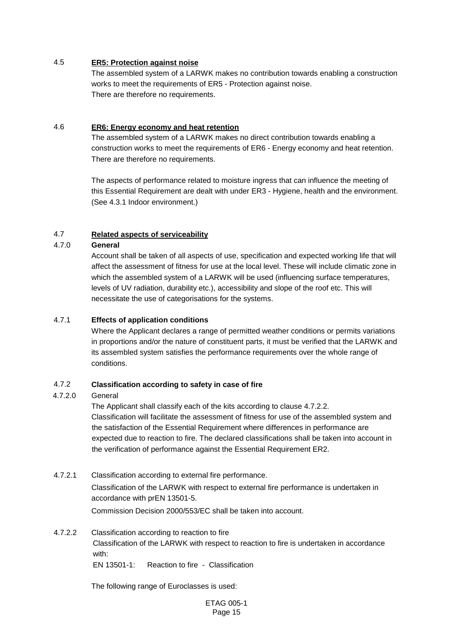## 4.5 **ER5: Protection against noise**

The assembled system of a LARWK makes no contribution towards enabling a construction works to meet the requirements of ER5 - Protection against noise. There are therefore no requirements.

## 4.6 **ER6: Energy economy and heat retention**

The assembled system of a LARWK makes no direct contribution towards enabling a construction works to meet the requirements of ER6 - Energy economy and heat retention. There are therefore no requirements.

The aspects of performance related to moisture ingress that can influence the meeting of this Essential Requirement are dealt with under ER3 - Hygiene, health and the environment. (See 4.3.1 Indoor environment.)

## 4.7 **Related aspects of serviceability**

## 4.7.0 **General**

Account shall be taken of all aspects of use, specification and expected working life that will affect the assessment of fitness for use at the local level. These will include climatic zone in which the assembled system of a LARWK will be used (influencing surface temperatures, levels of UV radiation, durability etc.), accessibility and slope of the roof etc. This will necessitate the use of categorisations for the systems.

## 4.7.1 **Effects of application conditions**

Where the Applicant declares a range of permitted weather conditions or permits variations in proportions and/or the nature of constituent parts, it must be verified that the LARWK and its assembled system satisfies the performance requirements over the whole range of conditions.

## 4.7.2 **Classification according to safety in case of fire**

#### 4.7.2.0 General

The Applicant shall classify each of the kits according to clause 4.7.2.2. Classification will facilitate the assessment of fitness for use of the assembled system and the satisfaction of the Essential Requirement where differences in performance are expected due to reaction to fire. The declared classifications shall be taken into account in the verification of performance against the Essential Requirement ER2.

## 4.7.2.1 Classification according to external fire performance.

Classification of the LARWK with respect to external fire performance is undertaken in accordance with prEN 13501-5.

Commission Decision 2000/553/EC shall be taken into account.

4.7.2.2 Classification according to reaction to fire Classification of the LARWK with respect to reaction to fire is undertaken in accordance with:

EN 13501-1: Reaction to fire - Classification

The following range of Euroclasses is used: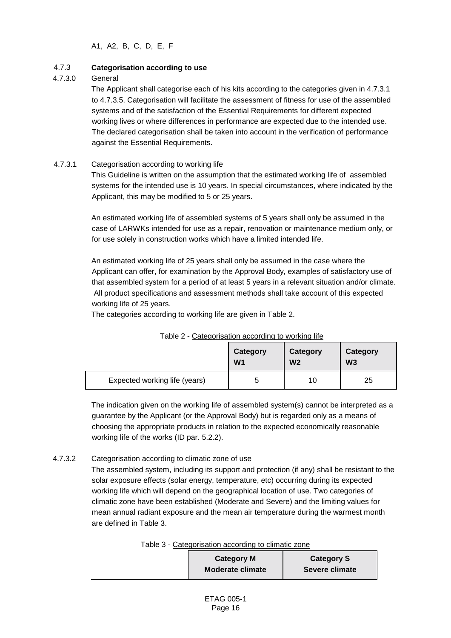## A1, A2, B, C, D, E, F

## 4.7.3 **Categorisation according to use**

#### 4.7.3.0 General

The Applicant shall categorise each of his kits according to the categories given in 4.7.3.1 to 4.7.3.5. Categorisation will facilitate the assessment of fitness for use of the assembled systems and of the satisfaction of the Essential Requirements for different expected working lives or where differences in performance are expected due to the intended use. The declared categorisation shall be taken into account in the verification of performance against the Essential Requirements.

## 4.7.3.1 Categorisation according to working life

This Guideline is written on the assumption that the estimated working life of assembled systems for the intended use is 10 years. In special circumstances, where indicated by the Applicant, this may be modified to 5 or 25 years.

An estimated working life of assembled systems of 5 years shall only be assumed in the case of LARWKs intended for use as a repair, renovation or maintenance medium only, or for use solely in construction works which have a limited intended life.

An estimated working life of 25 years shall only be assumed in the case where the Applicant can offer, for examination by the Approval Body, examples of satisfactory use of that assembled system for a period of at least 5 years in a relevant situation and/or climate. All product specifications and assessment methods shall take account of this expected working life of 25 years.

The categories according to working life are given in Table 2.

|                               | Category       | Category       | Category       |
|-------------------------------|----------------|----------------|----------------|
|                               | W <sub>1</sub> | W <sub>2</sub> | W <sub>3</sub> |
| Expected working life (years) | G              | 10             | 25             |

Table 2 - Categorisation according to working life

The indication given on the working life of assembled system(s) cannot be interpreted as a guarantee by the Applicant (or the Approval Body) but is regarded only as a means of choosing the appropriate products in relation to the expected economically reasonable working life of the works (ID par. 5.2.2).

## 4.7.3.2 Categorisation according to climatic zone of use

The assembled system, including its support and protection (if any) shall be resistant to the solar exposure effects (solar energy, temperature, etc) occurring during its expected working life which will depend on the geographical location of use. Two categories of climatic zone have been established (Moderate and Severe) and the limiting values for mean annual radiant exposure and the mean air temperature during the warmest month are defined in Table 3.

Table 3 - Categorisation according to climatic zone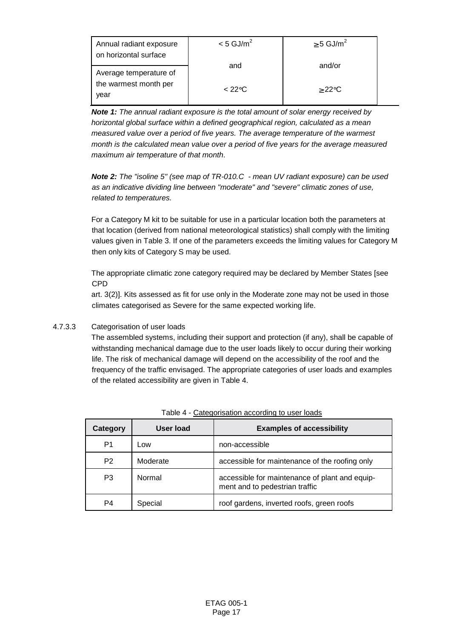| Annual radiant exposure<br>on horizontal surface | $< 5$ GJ/m <sup>2</sup> | $\geq$ 5 GJ/m <sup>2</sup> |  |
|--------------------------------------------------|-------------------------|----------------------------|--|
| Average temperature of                           | and                     | and/or                     |  |
| the warmest month per<br>vear                    | $< 22^{\circ}$ C        | $\geq$ 22°C                |  |

*Note 1: The annual radiant exposure is the total amount of solar energy received by horizontal global surface within a defined geographical region, calculated as a mean measured value over a period of five years. The average temperature of the warmest month is the calculated mean value over a period of five years for the average measured maximum air temperature of that month*.

*Note 2: The "isoline 5" (see map of TR-010.C - mean UV radiant exposure) can be used as an indicative dividing line between "moderate" and "severe" climatic zones of use, related to temperatures.*

For a Category M kit to be suitable for use in a particular location both the parameters at that location (derived from national meteorological statistics) shall comply with the limiting values given in Table 3. If one of the parameters exceeds the limiting values for Category M then only kits of Category S may be used.

The appropriate climatic zone category required may be declared by Member States [see CPD

art. 3(2)]. Kits assessed as fit for use only in the Moderate zone may not be used in those climates categorised as Severe for the same expected working life.

## 4.7.3.3 Categorisation of user loads

The assembled systems, including their support and protection (if any), shall be capable of withstanding mechanical damage due to the user loads likely to occur during their working life. The risk of mechanical damage will depend on the accessibility of the roof and the frequency of the traffic envisaged. The appropriate categories of user loads and examples of the related accessibility are given in Table 4.

| Category       | User load | <b>Examples of accessibility</b>                                                 |
|----------------|-----------|----------------------------------------------------------------------------------|
| P1             | Low       | non-accessible                                                                   |
| P <sub>2</sub> | Moderate  | accessible for maintenance of the roofing only                                   |
| P3             | Normal    | accessible for maintenance of plant and equip-<br>ment and to pedestrian traffic |
| P4             | Special   | roof gardens, inverted roofs, green roofs                                        |

|--|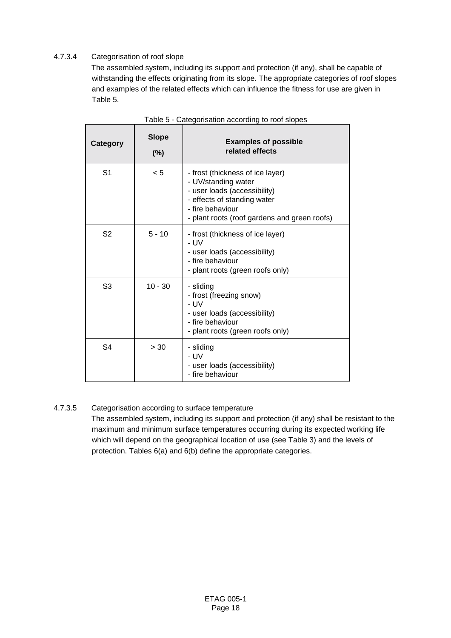## 4.7.3.4 Categorisation of roof slope

The assembled system, including its support and protection (if any), shall be capable of withstanding the effects originating from its slope. The appropriate categories of roof slopes and examples of the related effects which can influence the fitness for use are given in Table 5.

| Category       | <b>Slope</b><br>$(\%)$ | <b>Examples of possible</b><br>related effects                                                                                                                                             |
|----------------|------------------------|--------------------------------------------------------------------------------------------------------------------------------------------------------------------------------------------|
| S <sub>1</sub> | < 5                    | - frost (thickness of ice layer)<br>- UV/standing water<br>- user loads (accessibility)<br>- effects of standing water<br>- fire behaviour<br>- plant roots (roof gardens and green roofs) |
| S <sub>2</sub> | $5 - 10$               | - frost (thickness of ice layer)<br>- UV<br>- user loads (accessibility)<br>- fire behaviour<br>- plant roots (green roofs only)                                                           |
| S3             | $10 - 30$              | - sliding<br>- frost (freezing snow)<br>- UV<br>- user loads (accessibility)<br>- fire behaviour<br>- plant roots (green roofs only)                                                       |
| S <sub>4</sub> | > 30                   | - sliding<br>- UV<br>- user loads (accessibility)<br>- fire behaviour                                                                                                                      |

| Table 5 - Categorisation according to roof slopes |
|---------------------------------------------------|
|---------------------------------------------------|

## 4.7.3.5 Categorisation according to surface temperature

The assembled system, including its support and protection (if any) shall be resistant to the maximum and minimum surface temperatures occurring during its expected working life which will depend on the geographical location of use (see Table 3) and the levels of protection. Tables 6(a) and 6(b) define the appropriate categories.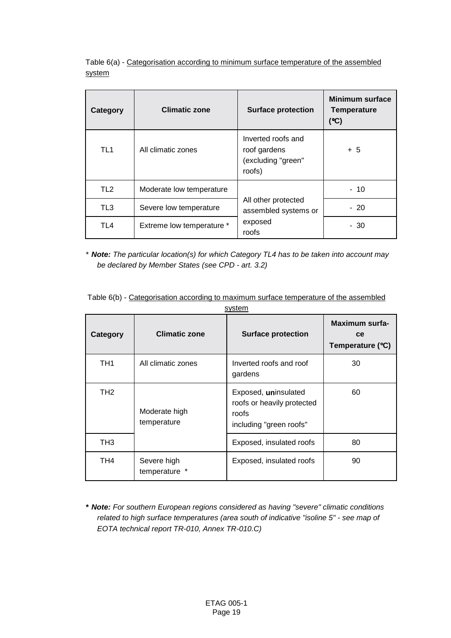Table 6(a) - Categorisation according to minimum surface temperature of the assembled system

| Category        | <b>Climatic zone</b>      | <b>Surface protection</b>                                          | Minimum surface<br><b>Temperature</b><br>(°C) |
|-----------------|---------------------------|--------------------------------------------------------------------|-----------------------------------------------|
| TL <sub>1</sub> | All climatic zones        | Inverted roofs and<br>roof gardens<br>(excluding "green"<br>roofs) | $+5$                                          |
| TL2             | Moderate low temperature  |                                                                    | $-10$                                         |
| TL3             | Severe low temperature    | All other protected<br>assembled systems or                        | $-20$                                         |
| TL4             | Extreme low temperature * | exposed<br>roofs                                                   | - 30                                          |

*\* Note: The particular location(s) for which Category TL4 has to be taken into account may be declared by Member States (see CPD - art. 3.2)*

| Category        | <b>Climatic zone</b>         | <b>Surface protection</b>                                                              | Maximum surfa-<br>ce<br>Temperature $(°C)$ |
|-----------------|------------------------------|----------------------------------------------------------------------------------------|--------------------------------------------|
| TH1             | All climatic zones           | Inverted roofs and roof<br>gardens                                                     | 30                                         |
| TH <sub>2</sub> | Moderate high<br>temperature | Exposed, uninsulated<br>roofs or heavily protected<br>roofs<br>including "green roofs" | 60                                         |
| TH <sub>3</sub> |                              | Exposed, insulated roofs                                                               | 80                                         |
| TH4             | Severe high<br>temperature * | Exposed, insulated roofs                                                               | 90                                         |

Table 6(b) - Categorisation according to maximum surface temperature of the assembled system

*\* Note: For southern European regions considered as having "severe" climatic conditions related to high surface temperatures (area south of indicative "isoline 5" - see map of EOTA technical report TR-010, Annex TR-010.C)*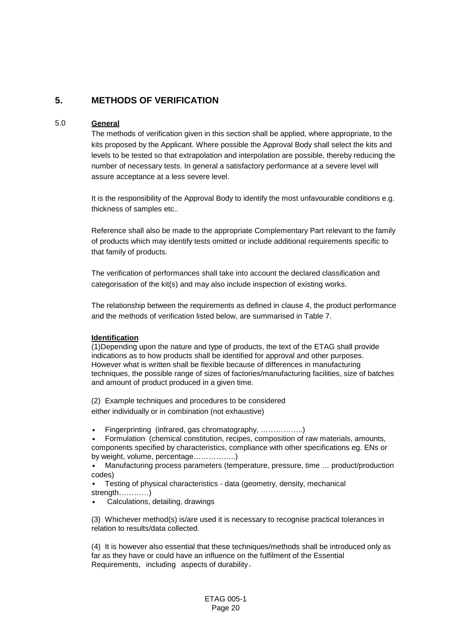# **5. METHODS OF VERIFICATION**

#### 5.0 **General**

The methods of verification given in this section shall be applied, where appropriate, to the kits proposed by the Applicant. Where possible the Approval Body shall select the kits and levels to be tested so that extrapolation and interpolation are possible, thereby reducing the number of necessary tests. In general a satisfactory performance at a severe level will assure acceptance at a less severe level.

It is the responsibility of the Approval Body to identify the most unfavourable conditions e.g. thickness of samples etc..

Reference shall also be made to the appropriate Complementary Part relevant to the family of products which may identify tests omitted or include additional requirements specific to that family of products.

The verification of performances shall take into account the declared classification and categorisation of the kit(s) and may also include inspection of existing works.

The relationship between the requirements as defined in clause 4, the product performance and the methods of verification listed below, are summarised in Table 7.

#### **Identification**

(1)Depending upon the nature and type of products, the text of the ETAG shall provide indications as to how products shall be identified for approval and other purposes. However what is written shall be flexible because of differences in manufacturing techniques, the possible range of sizes of factories/manufacturing facilities, size of batches and amount of product produced in a given time.

(2) Example techniques and procedures to be considered

either individually or in combination (not exhaustive)

Fingerprinting (infrared, gas chromatography, ..................)

• Formulation (chemical constitution, recipes, composition of raw materials, amounts, components specified by characteristics, compliance with other specifications eg. ENs or by weight, volume, percentage……………..)

• Manufacturing process parameters (temperature, pressure, time … product/production codes)

• Testing of physical characteristics - data (geometry, density, mechanical strength…………)

• Calculations, detailing, drawings

(3) Whichever method(s) is/are used it is necessary to recognise practical tolerances in relation to results/data collected.

(4) It is however also essential that these techniques/methods shall be introduced only as far as they have or could have an influence on the fulfilment of the Essential Requirements, including aspects of durability.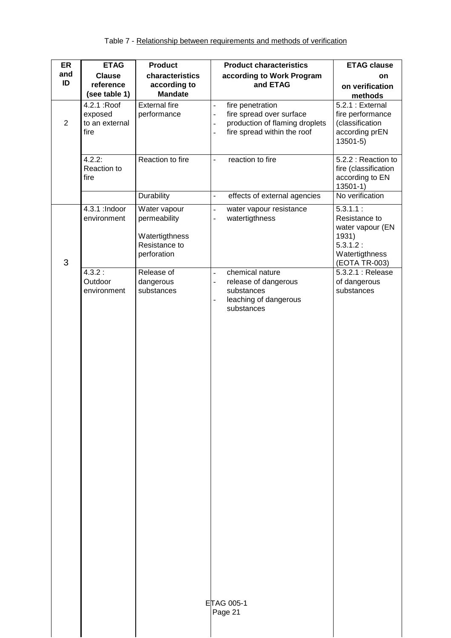| ER             | <b>ETAG</b>                                       | <b>Product</b>                                                                 | <b>Product characteristics</b>                                                                                                                                              | <b>ETAG clause</b>                                                                                    |
|----------------|---------------------------------------------------|--------------------------------------------------------------------------------|-----------------------------------------------------------------------------------------------------------------------------------------------------------------------------|-------------------------------------------------------------------------------------------------------|
| and<br>ID      | <b>Clause</b><br>reference<br>(see table 1)       | characteristics<br>according to<br><b>Mandate</b>                              | according to Work Program<br>and ETAG                                                                                                                                       | on<br>on verification<br>methods                                                                      |
| $\overline{2}$ | 4.2.1 : Roof<br>exposed<br>to an external<br>fire | <b>External fire</b><br>performance                                            | fire penetration<br>$\overline{a}$<br>fire spread over surface<br>$\overline{a}$<br>production of flaming droplets<br>fire spread within the roof                           | 5.2.1 : External<br>fire performance<br>(classification<br>according prEN<br>13501-5)                 |
|                | $4.2.2$ :<br>Reaction to<br>fire                  | Reaction to fire                                                               | reaction to fire<br>$\overline{\phantom{a}}$                                                                                                                                | 5.2.2 : Reaction to<br>fire (classification<br>according to EN<br>$13501-1)$                          |
|                |                                                   | Durability                                                                     | effects of external agencies<br>$\frac{1}{2}$                                                                                                                               | No verification                                                                                       |
| $\mathfrak{Z}$ | 4.3.1 : Indoor<br>environment                     | Water vapour<br>permeability<br>Watertigthness<br>Resistance to<br>perforation | water vapour resistance<br>$\overline{\phantom{0}}$<br>watertigthness<br>$\qquad \qquad -$                                                                                  | 5.3.1.1:<br>Resistance to<br>water vapour (EN<br>1931)<br>5.3.1.2:<br>Watertigthness<br>(EOTA TR-003) |
|                | 4.3.2:<br>Outdoor<br>environment                  | Release of<br>dangerous<br>substances                                          | chemical nature<br>$\overline{a}$<br>release of dangerous<br>$\overline{a}$<br>substances<br>leaching of dangerous<br>$\overline{a}$<br>substances<br>ETAG 005-1<br>Page 21 | 5.3.2.1 : Release<br>of dangerous<br>substances                                                       |
|                |                                                   |                                                                                |                                                                                                                                                                             |                                                                                                       |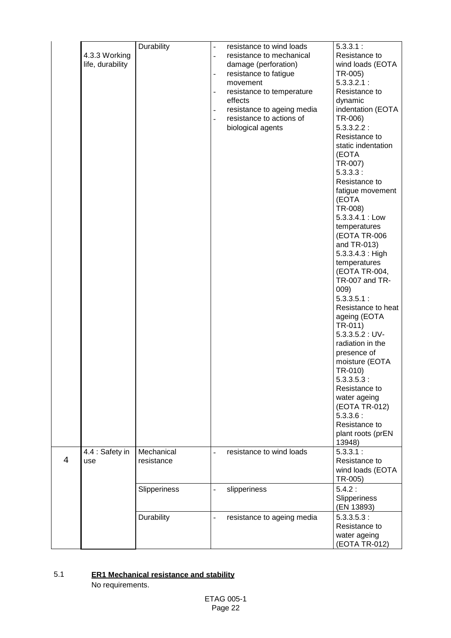|   |                                   | Durability               | ÷,                                                                                             | resistance to wind loads                                                                                                                                                                                     | 5.3.3.1:                                                                                                                                                                                                                                                                                                                                                                                                                                                                                                                                                                                                                                                                                              |
|---|-----------------------------------|--------------------------|------------------------------------------------------------------------------------------------|--------------------------------------------------------------------------------------------------------------------------------------------------------------------------------------------------------------|-------------------------------------------------------------------------------------------------------------------------------------------------------------------------------------------------------------------------------------------------------------------------------------------------------------------------------------------------------------------------------------------------------------------------------------------------------------------------------------------------------------------------------------------------------------------------------------------------------------------------------------------------------------------------------------------------------|
|   | 4.3.3 Working<br>life, durability |                          | $\overline{a}$<br>÷,<br>$\overline{\phantom{a}}$<br>$\overline{\phantom{a}}$<br>$\overline{a}$ | resistance to mechanical<br>damage (perforation)<br>resistance to fatigue<br>movement<br>resistance to temperature<br>effects<br>resistance to ageing media<br>resistance to actions of<br>biological agents | Resistance to<br>wind loads (EOTA<br>TR-005)<br>5.3.3.2.1:<br>Resistance to<br>dynamic<br>indentation (EOTA<br>TR-006)<br>5.3.3.2.2:<br>Resistance to<br>static indentation<br>(EOTA<br>TR-007)<br>5.3.3.3:<br>Resistance to<br>fatigue movement<br>(EOTA<br>TR-008)<br>5.3.3.4.1 : Low<br>temperatures<br>(EOTA TR-006<br>and TR-013)<br>$5.3.3.4.3$ : High<br>temperatures<br>(EOTA TR-004,<br>TR-007 and TR-<br>009)<br>5.3.3.5.1:<br>Resistance to heat<br>ageing (EOTA<br>TR-011)<br>$5.3.3.5.2:UV-$<br>radiation in the<br>presence of<br>moisture (EOTA<br>TR-010)<br>5.3.3.5.3:<br>Resistance to<br>water ageing<br>(EOTA TR-012)<br>5.3.3.6:<br>Resistance to<br>plant roots (prEN<br>13948) |
| 4 | 4.4 : Safety in<br>use            | Mechanical<br>resistance | $\overline{\phantom{a}}$                                                                       | resistance to wind loads                                                                                                                                                                                     | 5.3.3.1:<br>Resistance to<br>wind loads (EOTA<br>TR-005)                                                                                                                                                                                                                                                                                                                                                                                                                                                                                                                                                                                                                                              |
|   |                                   | Slipperiness             | $\overline{a}$                                                                                 | slipperiness                                                                                                                                                                                                 | 5.4.2:<br>Slipperiness<br>(EN 13893)                                                                                                                                                                                                                                                                                                                                                                                                                                                                                                                                                                                                                                                                  |
|   |                                   | Durability               | $\bar{\phantom{a}}$                                                                            | resistance to ageing media                                                                                                                                                                                   | 5.3.3.5.3:<br>Resistance to<br>water ageing<br>(EOTA TR-012)                                                                                                                                                                                                                                                                                                                                                                                                                                                                                                                                                                                                                                          |

# 5.1 **ER1 Mechanical resistance and stability**

No requirements.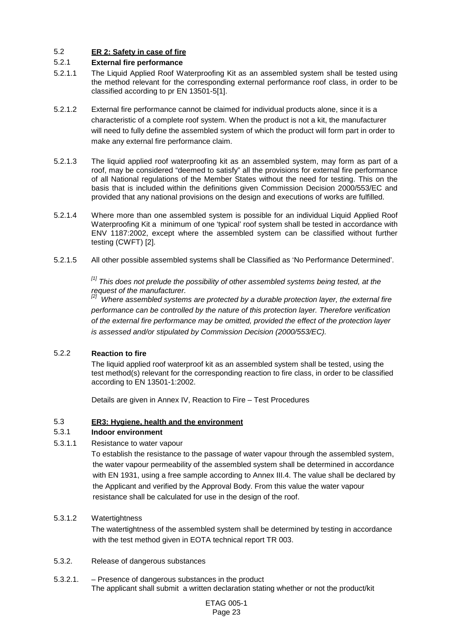## 5.2 **ER 2: Safety in case of fire**

## 5.2.1 **External fire performance**

- 5.2.1.1 The Liquid Applied Roof Waterproofing Kit as an assembled system shall be tested using the method relevant for the corresponding external performance roof class, in order to be classified according to pr EN 13501-5[1].
- 5.2.1.2 External fire performance cannot be claimed for individual products alone, since it is a characteristic of a complete roof system. When the product is not a kit, the manufacturer will need to fully define the assembled system of which the product will form part in order to make any external fire performance claim.
- 5.2.1.3 The liquid applied roof waterproofing kit as an assembled system, may form as part of a roof, may be considered "deemed to satisfy" all the provisions for external fire performance of all National regulations of the Member States without the need for testing. This on the basis that is included within the definitions given Commission Decision 2000/553/EC and provided that any national provisions on the design and executions of works are fulfilled.
- 5.2.1.4 Where more than one assembled system is possible for an individual Liquid Applied Roof Waterproofing Kit a minimum of one 'typical' roof system shall be tested in accordance with ENV 1187:2002, except where the assembled system can be classified without further testing (CWFT) [2].
- 5.2.1.5 All other possible assembled systems shall be Classified as 'No Performance Determined'.

*[1] This does not prelude the possibility of other assembled systems being tested, at the request of the manufacturer.*

*[2] Where assembled systems are protected by a durable protection layer, the external fire performance can be controlled by the nature of this protection layer. Therefore verification of the external fire performance may be omitted, provided the effect of the protection layer is assessed and/or stipulated by Commission Decision (2000/553/EC).*

## 5.2.2 **Reaction to fire**

The liquid applied roof waterproof kit as an assembled system shall be tested, using the test method(s) relevant for the corresponding reaction to fire class, in order to be classified according to EN 13501-1:2002.

Details are given in Annex IV, Reaction to Fire – Test Procedures

#### 5.3 **ER3: Hygiene, health and the environment**

## 5.3.1 **Indoor environment**

5.3.1.1 Resistance to water vapour

To establish the resistance to the passage of water vapour through the assembled system, the water vapour permeability of the assembled system shall be determined in accordance with EN 1931, using a free sample according to Annex III.4. The value shall be declared by the Applicant and verified by the Approval Body. From this value the water vapour resistance shall be calculated for use in the design of the roof.

#### 5.3.1.2 Watertightness

The watertightness of the assembled system shall be determined by testing in accordance with the test method given in EOTA technical report TR 003.

#### 5.3.2. Release of dangerous substances

5.3.2.1. – Presence of dangerous substances in the product The applicant shall submit a written declaration stating whether or not the product/kit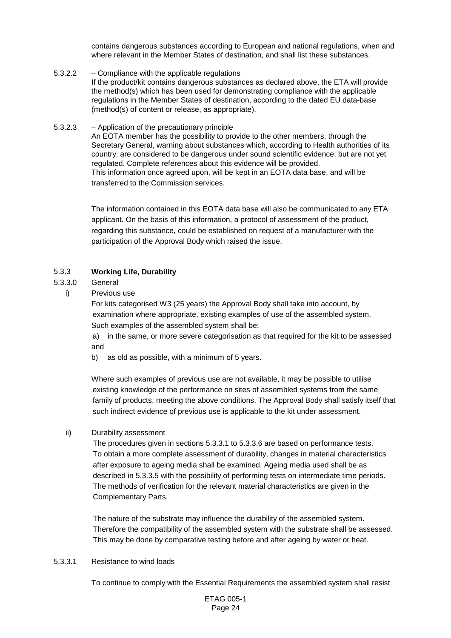contains dangerous substances according to European and national regulations, when and where relevant in the Member States of destination, and shall list these substances.

- 5.3.2.2 Compliance with the applicable regulations If the product/kit contains dangerous substances as declared above, the ETA will provide the method(s) which has been used for demonstrating compliance with the applicable regulations in the Member States of destination, according to the dated EU data-base (method(s) of content or release, as appropriate).
- 5.3.2.3 Application of the precautionary principle An EOTA member has the possibility to provide to the other members, through the Secretary General, warning about substances which, according to Health authorities of its country, are considered to be dangerous under sound scientific evidence, but are not yet regulated. Complete references about this evidence will be provided. This information once agreed upon, will be kept in an EOTA data base, and will be transferred to the Commission services.

The information contained in this EOTA data base will also be communicated to any ETA applicant. On the basis of this information, a protocol of assessment of the product, regarding this substance, could be established on request of a manufacturer with the participation of the Approval Body which raised the issue.

## 5.3.3 **Working Life, Durability**

## 5.3.3.0 General

i) Previous use

For kits categorised W3 (25 years) the Approval Body shall take into account, by examination where appropriate, existing examples of use of the assembled system. Such examples of the assembled system shall be:

a) in the same, or more severe categorisation as that required for the kit to be assessed and

b) as old as possible, with a minimum of 5 years.

Where such examples of previous use are not available, it may be possible to utilise existing knowledge of the performance on sites of assembled systems from the same family of products, meeting the above conditions. The Approval Body shall satisfy itself that such indirect evidence of previous use is applicable to the kit under assessment.

#### ii) Durability assessment

The procedures given in sections 5.3.3.1 to 5.3.3.6 are based on performance tests. To obtain a more complete assessment of durability, changes in material characteristics after exposure to ageing media shall be examined. Ageing media used shall be as described in 5.3.3.5 with the possibility of performing tests on intermediate time periods. The methods of verification for the relevant material characteristics are given in the Complementary Parts.

The nature of the substrate may influence the durability of the assembled system. Therefore the compatibility of the assembled system with the substrate shall be assessed. This may be done by comparative testing before and after ageing by water or heat.

#### 5.3.3.1 Resistance to wind loads

To continue to comply with the Essential Requirements the assembled system shall resist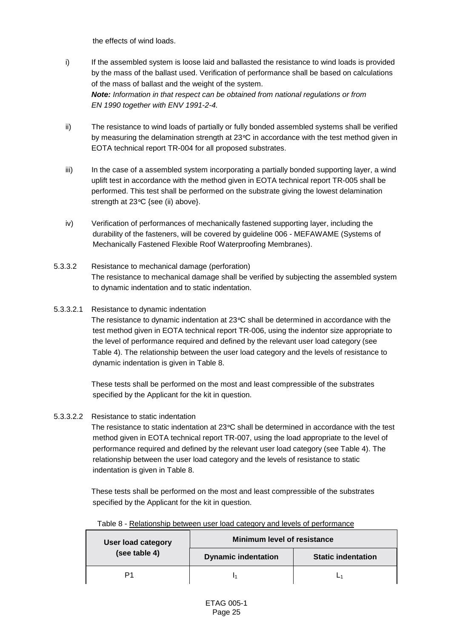the effects of wind loads.

- i) If the assembled system is loose laid and ballasted the resistance to wind loads is provided by the mass of the ballast used. Verification of performance shall be based on calculations of the mass of ballast and the weight of the system. *Note: Information in that respect can be obtained from national regulations or from EN 1990 together with ENV 1991-2-4.*
- ii) The resistance to wind loads of partially or fully bonded assembled systems shall be verified by measuring the delamination strength at 23°C in accordance with the test method given in EOTA technical report TR-004 for all proposed substrates.
- iii) In the case of a assembled system incorporating a partially bonded supporting layer, a wind uplift test in accordance with the method given in EOTA technical report TR-005 shall be performed. This test shall be performed on the substrate giving the lowest delamination strength at 23°C {see (ii) above}.
- iv) Verification of performances of mechanically fastened supporting layer, including the durability of the fasteners, will be covered by guideline 006 - MEFAWAME (Systems of Mechanically Fastened Flexible Roof Waterproofing Membranes).
- 5.3.3.2 Resistance to mechanical damage (perforation) The resistance to mechanical damage shall be verified by subjecting the assembled system to dynamic indentation and to static indentation.
- 5.3.3.2.1 Resistance to dynamic indentation

The resistance to dynamic indentation at 23°C shall be determined in accordance with the test method given in EOTA technical report TR-006, using the indentor size appropriate to the level of performance required and defined by the relevant user load category (see Table 4). The relationship between the user load category and the levels of resistance to dynamic indentation is given in Table 8.

These tests shall be performed on the most and least compressible of the substrates specified by the Applicant for the kit in question.

5.3.3.2.2 Resistance to static indentation

The resistance to static indentation at 23°C shall be determined in accordance with the test method given in EOTA technical report TR-007, using the load appropriate to the level of performance required and defined by the relevant user load category (see Table 4). The relationship between the user load category and the levels of resistance to static indentation is given in Table 8.

These tests shall be performed on the most and least compressible of the substrates specified by the Applicant for the kit in question.

| User load category | <b>Minimum level of resistance</b> |                           |  |  |
|--------------------|------------------------------------|---------------------------|--|--|
| (see table 4)      | <b>Dynamic indentation</b>         | <b>Static indentation</b> |  |  |
| P1                 |                                    |                           |  |  |

Table 8 - Relationship between user load category and levels of performance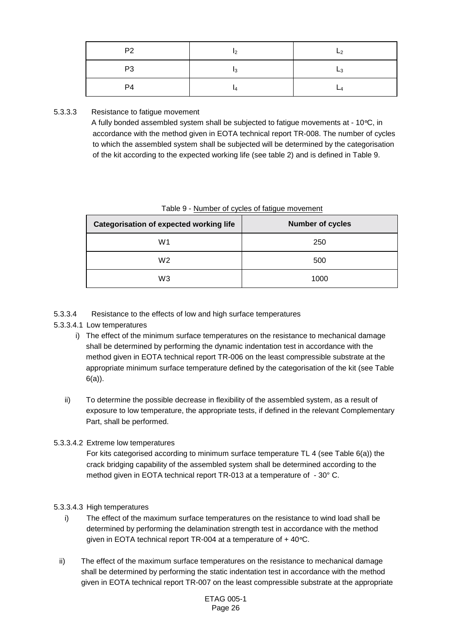| P <sub>2</sub> |    | $-2$ |
|----------------|----|------|
| P <sub>3</sub> |    | L3   |
| P4             | IА | –⊿   |

## 5.3.3.3 Resistance to fatigue movement

A fully bonded assembled system shall be subjected to fatigue movements at -  $10^{\circ}$ C, in accordance with the method given in EOTA technical report TR-008. The number of cycles to which the assembled system shall be subjected will be determined by the categorisation of the kit according to the expected working life (see table 2) and is defined in Table 9.

| <b>Categorisation of expected working life</b> | <b>Number of cycles</b> |
|------------------------------------------------|-------------------------|
| W1                                             | 250                     |
| W <sub>2</sub>                                 | 500                     |
| WЗ                                             | 1000                    |

Table 9 - Number of cycles of fatigue movement

## 5.3.3.4 Resistance to the effects of low and high surface temperatures

## 5.3.3.4.1 Low temperatures

- i) The effect of the minimum surface temperatures on the resistance to mechanical damage shall be determined by performing the dynamic indentation test in accordance with the method given in EOTA technical report TR-006 on the least compressible substrate at the appropriate minimum surface temperature defined by the categorisation of the kit (see Table 6(a)).
- ii) To determine the possible decrease in flexibility of the assembled system, as a result of exposure to low temperature, the appropriate tests, if defined in the relevant Complementary Part, shall be performed.

## 5.3.3.4.2 Extreme low temperatures

For kits categorised according to minimum surface temperature TL 4 (see Table 6(a)) the crack bridging capability of the assembled system shall be determined according to the method given in EOTA technical report TR-013 at a temperature of - 30° C.

## 5.3.3.4.3 High temperatures

- i) The effect of the maximum surface temperatures on the resistance to wind load shall be determined by performing the delamination strength test in accordance with the method given in EOTA technical report TR-004 at a temperature of + 40°C.
- ii) The effect of the maximum surface temperatures on the resistance to mechanical damage shall be determined by performing the static indentation test in accordance with the method given in EOTA technical report TR-007 on the least compressible substrate at the appropriate

ETAG 005-1 Page 26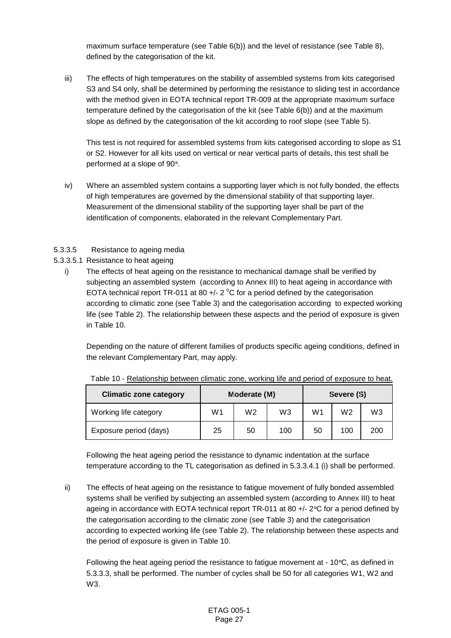maximum surface temperature (see Table 6(b)) and the level of resistance (see Table 8), defined by the categorisation of the kit.

iii) The effects of high temperatures on the stability of assembled systems from kits categorised S3 and S4 only, shall be determined by performing the resistance to sliding test in accordance with the method given in EOTA technical report TR-009 at the appropriate maximum surface temperature defined by the categorisation of the kit (see Table 6(b)) and at the maximum slope as defined by the categorisation of the kit according to roof slope (see Table 5).

This test is not required for assembled systems from kits categorised according to slope as S1 or S2. However for all kits used on vertical or near vertical parts of details, this test shall be performed at a slope of 90°.

- iv) Where an assembled system contains a supporting layer which is not fully bonded, the effects of high temperatures are governed by the dimensional stability of that supporting layer. Measurement of the dimensional stability of the supporting layer shall be part of the identification of components, elaborated in the relevant Complementary Part.
- 5.3.3.5 Resistance to ageing media
- 5.3.3.5.1 Resistance to heat ageing
	- i) The effects of heat ageing on the resistance to mechanical damage shall be verified by subjecting an assembled system (according to Annex III) to heat ageing in accordance with EOTA technical report TR-011 at 80 +/- 2  $^{\circ}$ C for a period defined by the categorisation according to climatic zone (see Table 3) and the categorisation according to expected working life (see Table 2). The relationship between these aspects and the period of exposure is given in Table 10.

Depending on the nature of different families of products specific ageing conditions, defined in the relevant Complementary Part, may apply.

| <b>Climatic zone category</b> |    | Moderate (M)   |                | Severe (S) |                |     |  |  |  |
|-------------------------------|----|----------------|----------------|------------|----------------|-----|--|--|--|
| Working life category         | W1 | W <sub>2</sub> | W <sub>3</sub> | W1         | W <sub>2</sub> | W3  |  |  |  |
| Exposure period (days)        | 25 | 50             | 100            | 50         | 100            | 200 |  |  |  |

Table 10 - Relationship between climatic zone, working life and period of exposure to heat.

Following the heat ageing period the resistance to dynamic indentation at the surface temperature according to the TL categorisation as defined in 5.3.3.4.1 (i) shall be performed.

ii) The effects of heat ageing on the resistance to fatigue movement of fully bonded assembled systems shall be verified by subjecting an assembled system (according to Annex III) to heat ageing in accordance with EOTA technical report TR-011 at 80 +/- 2°C for a period defined by the categorisation according to the climatic zone (see Table 3) and the categorisation according to expected working life (see Table 2). The relationship between these aspects and the period of exposure is given in Table 10.

Following the heat ageing period the resistance to fatigue movement at -  $10^{\circ}$ C, as defined in 5.3.3.3, shall be performed. The number of cycles shall be 50 for all categories W1, W2 and W3.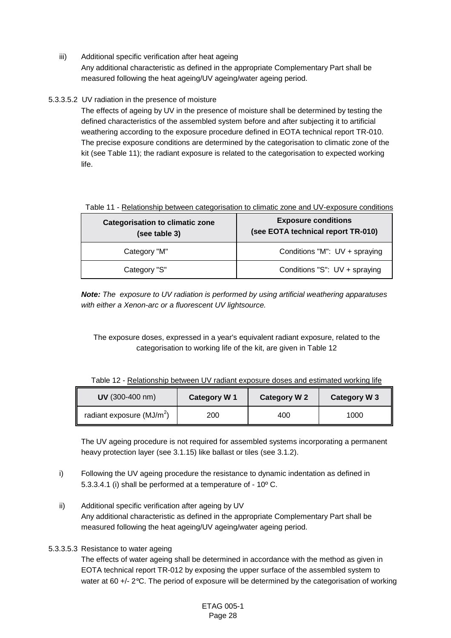- iii) Additional specific verification after heat ageing Any additional characteristic as defined in the appropriate Complementary Part shall be measured following the heat ageing/UV ageing/water ageing period.
- 5.3.3.5.2 UV radiation in the presence of moisture

The effects of ageing by UV in the presence of moisture shall be determined by testing the defined characteristics of the assembled system before and after subjecting it to artificial weathering according to the exposure procedure defined in EOTA technical report TR-010. The precise exposure conditions are determined by the categorisation to climatic zone of the kit (see Table 11); the radiant exposure is related to the categorisation to expected working life.

|  |  |  |  |  |  |  | Table 11 - Relationship between categorisation to climatic zone and UV-exposure conditions |
|--|--|--|--|--|--|--|--------------------------------------------------------------------------------------------|
|--|--|--|--|--|--|--|--------------------------------------------------------------------------------------------|

| <b>Categorisation to climatic zone</b><br>(see table 3) | <b>Exposure conditions</b><br>(see EOTA technical report TR-010) |
|---------------------------------------------------------|------------------------------------------------------------------|
| Category "M"                                            | Conditions "M": $UV +$ spraying                                  |
| Category "S"                                            | Conditions "S": UV + spraying                                    |

*Note: The exposure to UV radiation is performed by using artificial weathering apparatuses with either a Xenon-arc or a fluorescent UV lightsource.*

The exposure doses, expressed in a year's equivalent radiant exposure, related to the categorisation to working life of the kit, are given in Table 12

|  |  |  | Table 12 - Relationship between UV radiant exposure doses and estimated working life |
|--|--|--|--------------------------------------------------------------------------------------|

| $UV$ (300-400 nm)                     | Category W 1 | <b>Category W2</b> | Category W 3 |  |  |
|---------------------------------------|--------------|--------------------|--------------|--|--|
| radiant exposure (MJ/m <sup>2</sup> ) | 200          | 400                | 1000         |  |  |

The UV ageing procedure is not required for assembled systems incorporating a permanent heavy protection layer (see 3.1.15) like ballast or tiles (see 3.1.2).

- i) Following the UV ageing procedure the resistance to dynamic indentation as defined in 5.3.3.4.1 (i) shall be performed at a temperature of - 10º C.
- ii) Additional specific verification after ageing by UV Any additional characteristic as defined in the appropriate Complementary Part shall be measured following the heat ageing/UV ageing/water ageing period.
- 5.3.3.5.3 Resistance to water ageing

The effects of water ageing shall be determined in accordance with the method as given in EOTA technical report TR-012 by exposing the upper surface of the assembled system to water at 60 +/- 2<sup>o</sup>C. The period of exposure will be determined by the categorisation of working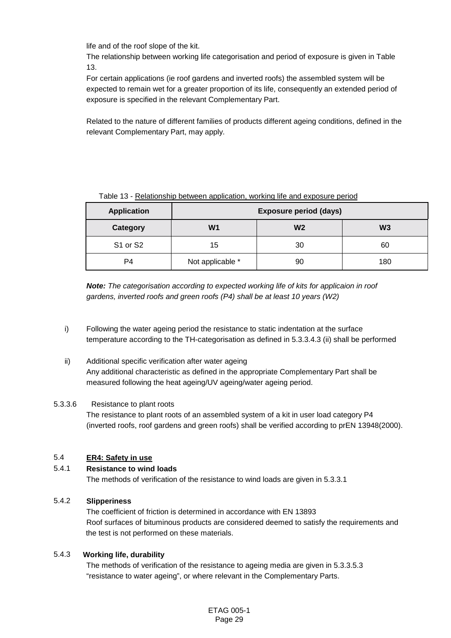life and of the roof slope of the kit.

The relationship between working life categorisation and period of exposure is given in Table 13.

For certain applications (ie roof gardens and inverted roofs) the assembled system will be expected to remain wet for a greater proportion of its life, consequently an extended period of exposure is specified in the relevant Complementary Part.

Related to the nature of different families of products different ageing conditions, defined in the relevant Complementary Part, may apply.

| Table 13 - Relationship between application, working life and exposure period |  |  |
|-------------------------------------------------------------------------------|--|--|
|                                                                               |  |  |
|                                                                               |  |  |

| <b>Application</b>               | <b>Exposure period (days)</b> |                |                |  |  |  |  |  |  |
|----------------------------------|-------------------------------|----------------|----------------|--|--|--|--|--|--|
| Category                         | W1                            | W <sub>2</sub> | W <sub>3</sub> |  |  |  |  |  |  |
| S <sub>1</sub> or S <sub>2</sub> | 15                            | 30             | 60             |  |  |  |  |  |  |
| P4                               | Not applicable *              | 90             | 180            |  |  |  |  |  |  |

*Note: The categorisation according to expected working life of kits for applicaion in roof gardens, inverted roofs and green roofs (P4) shall be at least 10 years (W2)*

- i) Following the water ageing period the resistance to static indentation at the surface temperature according to the TH-categorisation as defined in 5.3.3.4.3 (ii) shall be performed
- ii) Additional specific verification after water ageing Any additional characteristic as defined in the appropriate Complementary Part shall be measured following the heat ageing/UV ageing/water ageing period.

#### 5.3.3.6 Resistance to plant roots

The resistance to plant roots of an assembled system of a kit in user load category P4 (inverted roofs, roof gardens and green roofs) shall be verified according to prEN 13948(2000).

#### 5.4 **ER4: Safety in use**

## 5.4.1 **Resistance to wind loads**

The methods of verification of the resistance to wind loads are given in 5.3.3.1

#### 5.4.2 **Slipperiness**

The coefficient of friction is determined in accordance with EN 13893 Roof surfaces of bituminous products are considered deemed to satisfy the requirements and the test is not performed on these materials.

#### 5.4.3 **Working life, durability**

The methods of verification of the resistance to ageing media are given in 5.3.3.5.3 "resistance to water ageing", or where relevant in the Complementary Parts.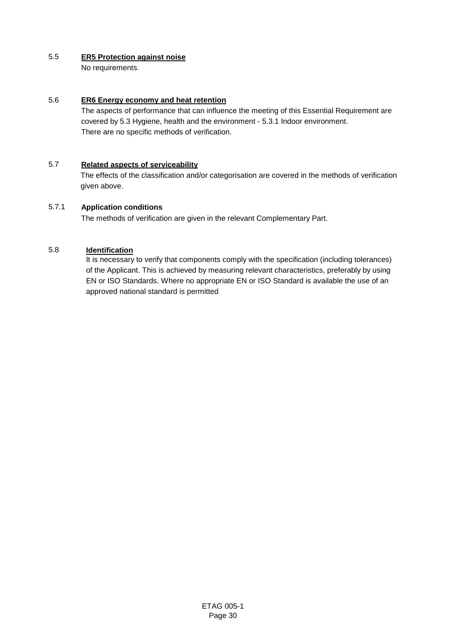## 5.5 **ER5 Protection against noise**

No requirements.

## 5.6 **ER6 Energy economy and heat retention**

The aspects of performance that can influence the meeting of this Essential Requirement are covered by 5.3 Hygiene, health and the environment - 5.3.1 Indoor environment. There are no specific methods of verification.

## 5.7 **Related aspects of serviceability**

The effects of the classification and/or categorisation are covered in the methods of verification given above.

## 5.7.1 **Application conditions**

The methods of verification are given in the relevant Complementary Part.

## 5.8 **Identification**

It is necessary to verify that components comply with the specification (including tolerances) of the Applicant. This is achieved by measuring relevant characteristics, preferably by using EN or ISO Standards. Where no appropriate EN or ISO Standard is available the use of an approved national standard is permitted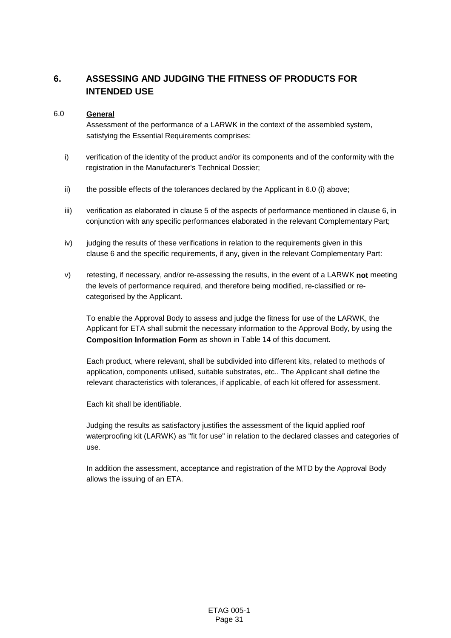# **6. ASSESSING AND JUDGING THE FITNESS OF PRODUCTS FOR INTENDED USE**

## 6.0 **General**

Assessment of the performance of a LARWK in the context of the assembled system, satisfying the Essential Requirements comprises:

- i) verification of the identity of the product and/or its components and of the conformity with the registration in the Manufacturer's Technical Dossier;
- ii) the possible effects of the tolerances declared by the Applicant in 6.0 (i) above;
- iii) verification as elaborated in clause 5 of the aspects of performance mentioned in clause 6, in conjunction with any specific performances elaborated in the relevant Complementary Part;
- iv) judging the results of these verifications in relation to the requirements given in this clause 6 and the specific requirements, if any, given in the relevant Complementary Part:
- v) retesting, if necessary, and/or re-assessing the results, in the event of a LARWK **not** meeting the levels of performance required, and therefore being modified, re-classified or recategorised by the Applicant.

To enable the Approval Body to assess and judge the fitness for use of the LARWK, the Applicant for ETA shall submit the necessary information to the Approval Body, by using the **Composition Information Form** as shown in Table 14 of this document.

Each product, where relevant, shall be subdivided into different kits, related to methods of application, components utilised, suitable substrates, etc.. The Applicant shall define the relevant characteristics with tolerances, if applicable, of each kit offered for assessment.

Each kit shall be identifiable.

Judging the results as satisfactory justifies the assessment of the liquid applied roof waterproofing kit (LARWK) as "fit for use" in relation to the declared classes and categories of use.

In addition the assessment, acceptance and registration of the MTD by the Approval Body allows the issuing of an ETA.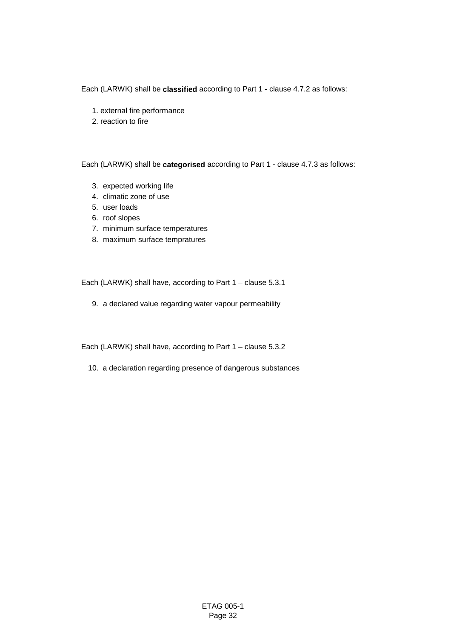Each (LARWK) shall be **classified** according to Part 1 - clause 4.7.2 as follows:

- 1. external fire performance
- 2. reaction to fire

Each (LARWK) shall be **categorised** according to Part 1 - clause 4.7.3 as follows:

- 3. expected working life
- 4. climatic zone of use
- 5. user loads
- 6. roof slopes
- 7. minimum surface temperatures
- 8. maximum surface tempratures

Each (LARWK) shall have, according to Part 1 – clause 5.3.1

9. a declared value regarding water vapour permeability

Each (LARWK) shall have, according to Part 1 – clause 5.3.2

10. a declaration regarding presence of dangerous substances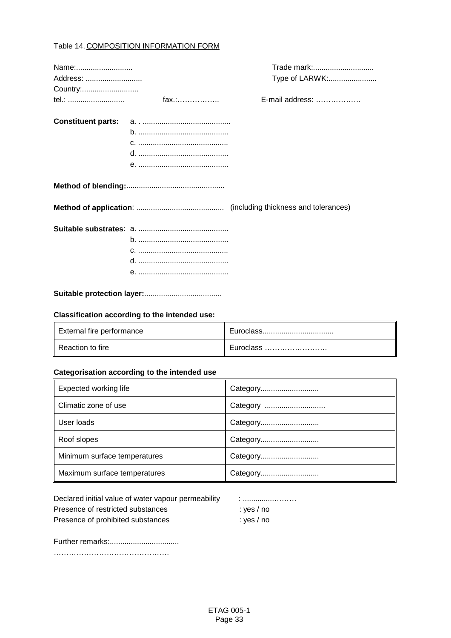#### Table 14. COMPOSITION INFORMATION FORM

| Name:<br>Address:<br>Country: |       | Trade mark:<br>Type of LARWK: |
|-------------------------------|-------|-------------------------------|
| tel.:                         | fax.: | E-mail address:               |
| <b>Constituent parts:</b>     |       |                               |
|                               |       |                               |
|                               |       |                               |
|                               |       |                               |

**Suitable protection layer:**.....................................

## **Classification according to the intended use:**

| External fire performance  | Euroclass. |
|----------------------------|------------|
| <b>II</b> Reaction to fire | Euroclass  |

## **Categorisation according to the intended use**

| Expected working life        | Category |
|------------------------------|----------|
| Climatic zone of use         | Category |
| User loads                   | Category |
| Roof slopes                  | Category |
| Minimum surface temperatures | Category |
| Maximum surface temperatures | Category |

Declared initial value of water vapour permeability Presence of restricted substances : yes / no Presence of prohibited substances : yes / no

| . |  |  |  |  |  |  |  |  |  |  |  |  |
|---|--|--|--|--|--|--|--|--|--|--|--|--|

- 
- 

Further remarks:................................. ……………………………………….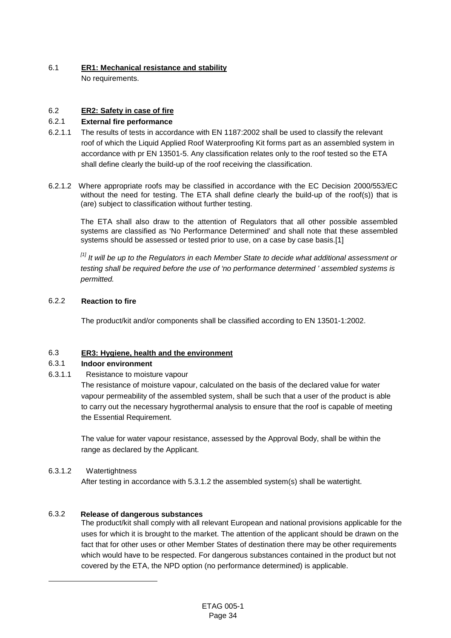## 6.1 **ER1: Mechanical resistance and stability**

No requirements.

## 6.2 **ER2: Safety in case of fire**

## 6.2.1 **External fire performance**

- 6.2.1.1 The results of tests in accordance with EN 1187:2002 shall be used to classify the relevant roof of which the Liquid Applied Roof Waterproofing Kit forms part as an assembled system in accordance with pr EN 13501-5. Any classification relates only to the roof tested so the ETA shall define clearly the build-up of the roof receiving the classification.
- 6.2.1.2 Where appropriate roofs may be classified in accordance with the EC Decision 2000/553/EC without the need for testing. The ETA shall define clearly the build-up of the roof(s)) that is (are) subject to classification without further testing.

The ETA shall also draw to the attention of Regulators that all other possible assembled systems are classified as 'No Performance Determined' and shall note that these assembled systems should be assessed or tested prior to use, on a case by case basis.[1]

*[1] It will be up to the Regulators in each Member State to decide what additional assessment or testing shall be required before the use of 'no performance determined ' assembled systems is permitted.*

## 6.2.2 **Reaction to fire**

The product/kit and/or components shall be classified according to EN 13501-1:2002.

#### 6.3 **ER3: Hygiene, health and the environment**

#### 6.3.1 **Indoor environment**

6.3.1.1 Resistance to moisture vapour

The resistance of moisture vapour, calculated on the basis of the declared value for water vapour permeability of the assembled system, shall be such that a user of the product is able to carry out the necessary hygrothermal analysis to ensure that the roof is capable of meeting the Essential Requirement.

The value for water vapour resistance, assessed by the Approval Body, shall be within the range as declared by the Applicant.

#### 6.3.1.2 Watertightness

After testing in accordance with 5.3.1.2 the assembled system(s) shall be watertight.

## 6.3.2 **Release of dangerous substances**

The product/kit shall comply with all relevant European and national provisions applicable for the uses for which it is brought to the market. The attention of the applicant should be drawn on the fact that for other uses or other Member States of destination there may be other requirements which would have to be respected. For dangerous substances contained in the product but not covered by the ETA, the NPD option (no performance determined) is applicable.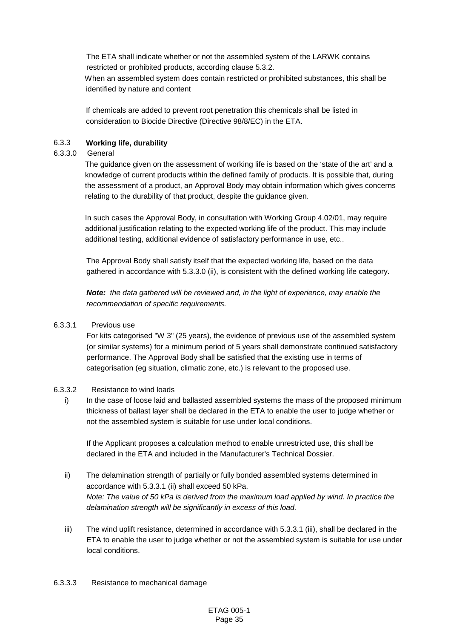The ETA shall indicate whether or not the assembled system of the LARWK contains restricted or prohibited products, according clause 5.3.2. When an assembled system does contain restricted or prohibited substances, this shall be identified by nature and content

If chemicals are added to prevent root penetration this chemicals shall be listed in consideration to Biocide Directive (Directive 98/8/EC) in the ETA.

## 6.3.3 **Working life, durability**

#### 6.3.3.0 General

The guidance given on the assessment of working life is based on the 'state of the art' and a knowledge of current products within the defined family of products. It is possible that, during the assessment of a product, an Approval Body may obtain information which gives concerns relating to the durability of that product, despite the guidance given.

In such cases the Approval Body, in consultation with Working Group 4.02/01, may require additional justification relating to the expected working life of the product. This may include additional testing, additional evidence of satisfactory performance in use, etc..

The Approval Body shall satisfy itself that the expected working life, based on the data gathered in accordance with 5.3.3.0 (ii), is consistent with the defined working life category.

*Note: the data gathered will be reviewed and, in the light of experience, may enable the recommendation of specific requirements.*

#### 6.3.3.1 Previous use

For kits categorised "W 3" (25 years), the evidence of previous use of the assembled system (or similar systems) for a minimum period of 5 years shall demonstrate continued satisfactory performance. The Approval Body shall be satisfied that the existing use in terms of categorisation (eg situation, climatic zone, etc.) is relevant to the proposed use.

#### 6.3.3.2 Resistance to wind loads

i) In the case of loose laid and ballasted assembled systems the mass of the proposed minimum thickness of ballast layer shall be declared in the ETA to enable the user to judge whether or not the assembled system is suitable for use under local conditions.

If the Applicant proposes a calculation method to enable unrestricted use, this shall be declared in the ETA and included in the Manufacturer's Technical Dossier.

- ii) The delamination strength of partially or fully bonded assembled systems determined in accordance with 5.3.3.1 (ii) shall exceed 50 kPa. *Note: The value of 50 kPa is derived from the maximum load applied by wind. In practice the delamination strength will be significantly in excess of this load.*
- iii) The wind uplift resistance, determined in accordance with 5.3.3.1 (iii), shall be declared in the ETA to enable the user to judge whether or not the assembled system is suitable for use under local conditions.
- 6.3.3.3 Resistance to mechanical damage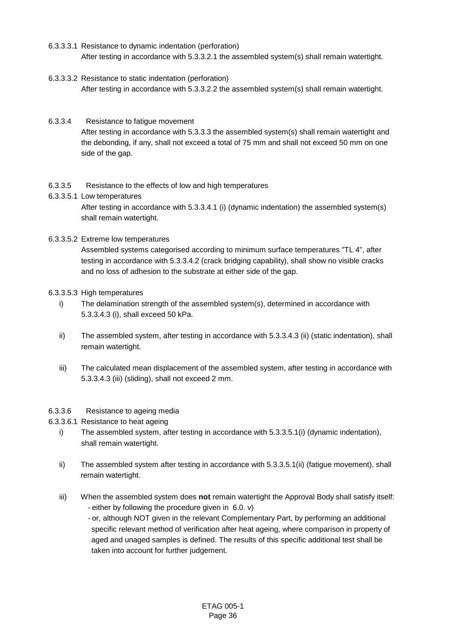6.3.3.3.1 Resistance to dynamic indentation (perforation)

After testing in accordance with 5.3.3.2.1 the assembled system(s) shall remain watertight.

6.3.3.3.2 Resistance to static indentation (perforation) After testing in accordance with 5.3.3.2.2 the assembled system(s) shall remain watertight.

#### 6.3.3.4 Resistance to fatigue movement

After testing in accordance with 5.3.3.3 the assembled system(s) shall remain watertight and the debonding, if any, shall not exceed a total of 75 mm and shall not exceed 50 mm on one side of the gap.

## 6.3.3.5 Resistance to the effects of low and high temperatures

6.3.3.5.1 Low temperatures

 After testing in accordance with 5.3.3.4.1 (i) (dynamic indentation) the assembled system(s) shall remain watertight.

## 6.3.3.5.2 Extreme low temperatures

Assembled systems categorised according to minimum surface temperatures "TL 4", after testing in accordance with 5.3.3.4.2 (crack bridging capability), shall show no visible cracks and no loss of adhesion to the substrate at either side of the gap.

#### 6.3.3.5.3 High temperatures

- i) The delamination strength of the assembled system(s), determined in accordance with 5.3.3.4.3 (i), shall exceed 50 kPa.
- ii) The assembled system, after testing in accordance with 5.3.3.4.3 (ii) (static indentation), shall remain watertight.
- iii) The calculated mean displacement of the assembled system, after testing in accordance with 5.3.3.4.3 (iii) (sliding), shall not exceed 2 mm.

#### 6.3.3.6 Resistance to ageing media

- 6.3.3.6.1 Resistance to heat ageing
	- i) The assembled system, after testing in accordance with 5.3.3.5.1(i) (dynamic indentation), shall remain watertight.
	- ii) The assembled system after testing in accordance with 5.3.3.5.1(ii) (fatigue movement), shall remain watertight.
	- iii) When the assembled system does **not** remain watertight the Approval Body shall satisfy itself: - either by following the procedure given in 6.0. v)
		- or, although NOT given in the relevant Complementary Part, by performing an additional specific relevant method of verification after heat ageing, where comparison in property of aged and unaged samples is defined. The results of this specific additional test shall be taken into account for further judgement.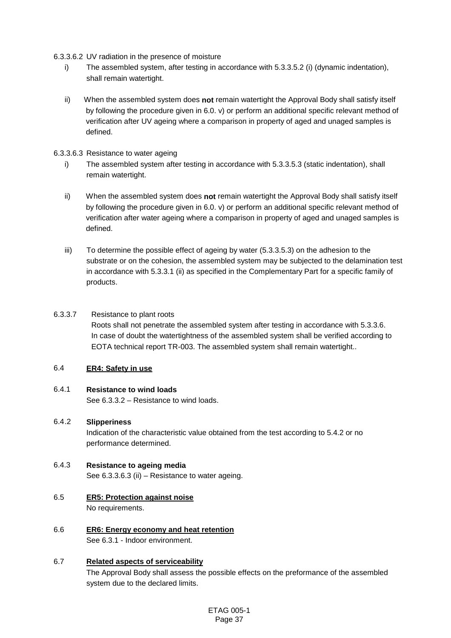#### 6.3.3.6.2 UV radiation in the presence of moisture

- i) The assembled system, after testing in accordance with 5.3.3.5.2 (i) (dynamic indentation), shall remain watertight.
- ii) When the assembled system does **not** remain watertight the Approval Body shall satisfy itself by following the procedure given in 6.0. v) or perform an additional specific relevant method of verification after UV ageing where a comparison in property of aged and unaged samples is defined.

#### 6.3.3.6.3 Resistance to water ageing

- i) The assembled system after testing in accordance with 5.3.3.5.3 (static indentation), shall remain watertight.
- ii) When the assembled system does **not** remain watertight the Approval Body shall satisfy itself by following the procedure given in 6.0. v) or perform an additional specific relevant method of verification after water ageing where a comparison in property of aged and unaged samples is defined.
- iii) To determine the possible effect of ageing by water (5.3.3.5.3) on the adhesion to the substrate or on the cohesion, the assembled system may be subjected to the delamination test in accordance with 5.3.3.1 (ii) as specified in the Complementary Part for a specific family of products.

#### 6.3.3.7 Resistance to plant roots

Roots shall not penetrate the assembled system after testing in accordance with 5.3.3.6. In case of doubt the watertightness of the assembled system shall be verified according to EOTA technical report TR-003. The assembled system shall remain watertight..

## 6.4 **ER4: Safety in use**

#### 6.4.1 **Resistance to wind loads**

See 6.3.3.2 – Resistance to wind loads.

#### 6.4 .2 **Slipperiness**

Indication of the characteristic value obtained from the test according to 5.4.2 or no performance determined.

## 6.4.3 **Resistance to ageing media**

See 6.3.3.6.3 (ii) – Resistance to water ageing.

- 6.5 **ER5: Protection against noise** No requirements.
- 6.6 **ER6: Energy economy and heat retention** See 6.3.1 - Indoor environment.

#### 6.7 **Related aspects of serviceability**

The Approval Body shall assess the possible effects on the preformance of the assembled system due to the declared limits.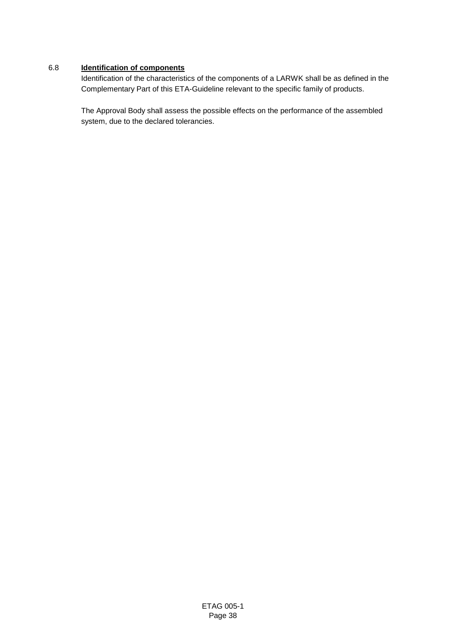## 6.8 **Identification of components**

Identification of the characteristics of the components of a LARWK shall be as defined in the Complementary Part of this ETA-Guideline relevant to the specific family of products.

The Approval Body shall assess the possible effects on the performance of the assembled system, due to the declared tolerancies.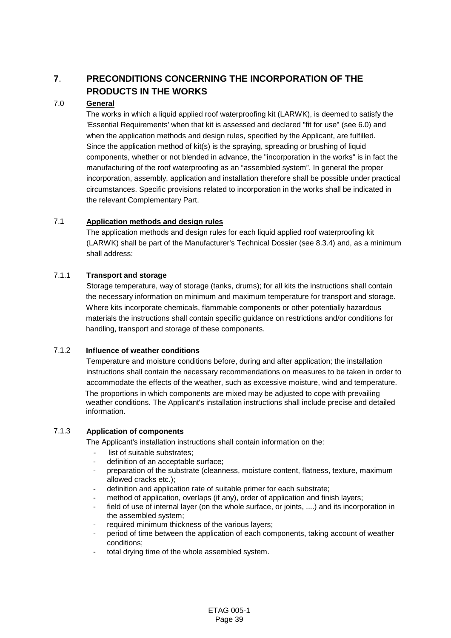# **7**. **PRECONDITIONS CONCERNING THE INCORPORATION OF THE PRODUCTS IN THE WORKS**

## 7.0 **General**

The works in which a liquid applied roof waterproofing kit (LARWK), is deemed to satisfy the 'Essential Requirements' when that kit is assessed and declared "fit for use" (see 6.0) and when the application methods and design rules, specified by the Applicant, are fulfilled. Since the application method of kit(s) is the spraying, spreading or brushing of liquid components, whether or not blended in advance, the "incorporation in the works" is in fact the manufacturing of the roof waterproofing as an "assembled system". In general the proper incorporation, assembly, application and installation therefore shall be possible under practical circumstances. Specific provisions related to incorporation in the works shall be indicated in the relevant Complementary Part.

## 7.1 **Application methods and design rules**

The application methods and design rules for each liquid applied roof waterproofing kit (LARWK) shall be part of the Manufacturer's Technical Dossier (see 8.3.4) and, as a minimum shall address:

## 7.1.1 **Transport and storage**

Storage temperature, way of storage (tanks, drums); for all kits the instructions shall contain the necessary information on minimum and maximum temperature for transport and storage. Where kits incorporate chemicals, flammable components or other potentially hazardous materials the instructions shall contain specific guidance on restrictions and/or conditions for handling, transport and storage of these components.

## 7.1.2 **Influence of weather conditions**

Temperature and moisture conditions before, during and after application; the installation instructions shall contain the necessary recommendations on measures to be taken in order to accommodate the effects of the weather, such as excessive moisture, wind and temperature. The proportions in which components are mixed may be adjusted to cope with prevailing weather conditions. The Applicant's installation instructions shall include precise and detailed information.

## 7.1.3 **Application of components**

The Applicant's installation instructions shall contain information on the:

- list of suitable substrates;
- definition of an acceptable surface;
- preparation of the substrate (cleanness, moisture content, flatness, texture, maximum allowed cracks etc.);
- definition and application rate of suitable primer for each substrate;
- method of application, overlaps (if any), order of application and finish layers;
- field of use of internal layer (on the whole surface, or joints, ....) and its incorporation in the assembled system;
- required minimum thickness of the various layers;
- period of time between the application of each components, taking account of weather conditions;
- total drying time of the whole assembled system.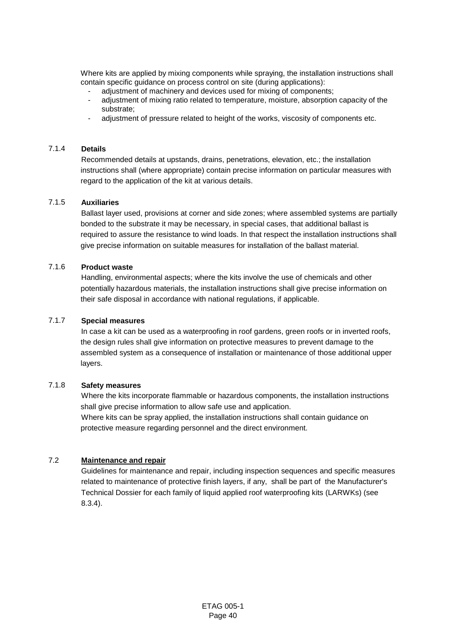Where kits are applied by mixing components while spraying, the installation instructions shall contain specific guidance on process control on site (during applications):

- adjustment of machinery and devices used for mixing of components;
- adjustment of mixing ratio related to temperature, moisture, absorption capacity of the substrate;
- adjustment of pressure related to height of the works, viscosity of components etc.

## 7.1.4 **Details**

Recommended details at upstands, drains, penetrations, elevation, etc.; the installation instructions shall (where appropriate) contain precise information on particular measures with regard to the application of the kit at various details.

#### 7.1.5 **Auxiliaries**

Ballast layer used, provisions at corner and side zones; where assembled systems are partially bonded to the substrate it may be necessary, in special cases, that additional ballast is required to assure the resistance to wind loads. In that respect the installation instructions shall give precise information on suitable measures for installation of the ballast material.

#### 7.1.6 **Product waste**

Handling, environmental aspects; where the kits involve the use of chemicals and other potentially hazardous materials, the installation instructions shall give precise information on their safe disposal in accordance with national regulations, if applicable.

#### 7.1.7 **Special measures**

In case a kit can be used as a waterproofing in roof gardens, green roofs or in inverted roofs, the design rules shall give information on protective measures to prevent damage to the assembled system as a consequence of installation or maintenance of those additional upper layers.

#### 7.1.8 **Safety measures**

Where the kits incorporate flammable or hazardous components, the installation instructions shall give precise information to allow safe use and application.

Where kits can be spray applied, the installation instructions shall contain guidance on protective measure regarding personnel and the direct environment.

#### 7.2 **Maintenance and repair**

Guidelines for maintenance and repair, including inspection sequences and specific measures related to maintenance of protective finish layers, if any, shall be part of the Manufacturer's Technical Dossier for each family of liquid applied roof waterproofing kits (LARWKs) (see 8.3.4).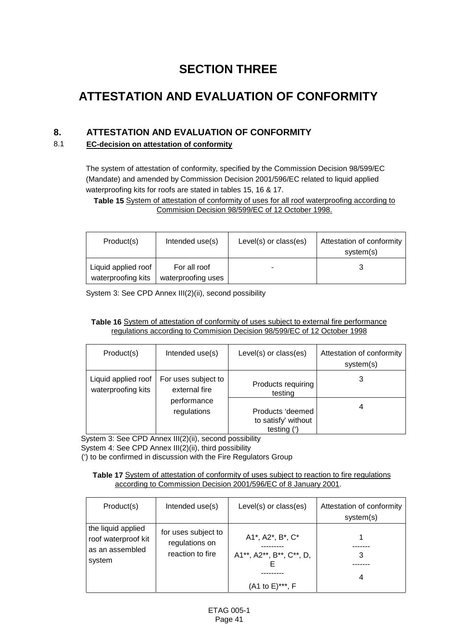# **SECTION THREE**

# **ATTESTATION AND EVALUATION OF CONFORMITY**

# **8. ATTESTATION AND EVALUATION OF CONFORMITY**

# 8.1 **EC-decision on attestation of conformity**

The system of attestation of conformity, specified by the Commission Decision 98/599/EC (Mandate) and amended by Commission Decision 2001/596/EC related to liquid applied waterproofing kits for roofs are stated in tables 15, 16 & 17.

Table 15 System of attestation of conformity of uses for all roof waterproofing according to Commision Decision 98/599/EC of 12 October 1998.

| Product(s)                                | Intended use(s)                    | Level(s) or class(es) | Attestation of conformity<br>system(s) |
|-------------------------------------------|------------------------------------|-----------------------|----------------------------------------|
| Liquid applied roof<br>waterproofing kits | For all roof<br>waterproofing uses | -                     |                                        |

System 3: See CPD Annex III(2)(ii), second possibility

## **Table 16** System of attestation of conformity of uses subject to external fire performance regulations according to Commision Decision 98/599/EC of 12 October 1998

| Product(s)                                | Intended use(s)                      | Level(s) or class(es)                                  | Attestation of conformity<br>system(s) |
|-------------------------------------------|--------------------------------------|--------------------------------------------------------|----------------------------------------|
| Liquid applied roof<br>waterproofing kits | For uses subject to<br>external fire | Products requiring<br>testing                          | 3                                      |
|                                           | performance<br>regulations           | Products 'deemed<br>to satisfy' without<br>testing (') |                                        |

System 3: See CPD Annex III(2)(ii), second possibility System 4: See CPD Annex III(2)(ii), third possibility

(') to be confirmed in discussion with the Fire Regulators Group

#### **Table 17** System of attestation of conformity of uses subject to reaction to fire regulations according to Commission Decision 2001/596/EC of 8 January 2001.

| Product(s)                                                             | Intended use(s)                                           | Level(s) or class(es)                                           | Attestation of conformity<br>system(s) |
|------------------------------------------------------------------------|-----------------------------------------------------------|-----------------------------------------------------------------|----------------------------------------|
| the liquid applied<br>roof waterproof kit<br>as an assembled<br>system | for uses subject to<br>regulations on<br>reaction to fire | A1*, A2*, B*, C*<br>A1**, A2**, B**, C**, D,<br>(A1 to E)***, F | 4                                      |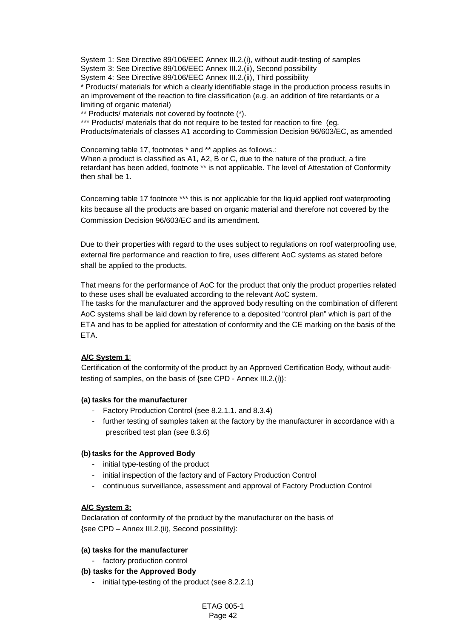System 1: See Directive 89/106/EEC Annex III.2.(i), without audit-testing of samples

System 3: See Directive 89/106/EEC Annex III.2.(ii), Second possibility

System 4: See Directive 89/106/EEC Annex III.2.(ii), Third possibility

\* Products/ materials for which a clearly identifiable stage in the production process results in an improvement of the reaction to fire classification (e.g. an addition of fire retardants or a limiting of organic material)

\*\* Products/ materials not covered by footnote (\*).

\*\*\* Products/ materials that do not require to be tested for reaction to fire (eg.

Products/materials of classes A1 according to Commission Decision 96/603/EC, as amended

Concerning table 17, footnotes \* and \*\* applies as follows.:

When a product is classified as A1, A2, B or C, due to the nature of the product, a fire retardant has been added, footnote \*\* is not applicable. The level of Attestation of Conformity then shall be 1.

Concerning table 17 footnote \*\*\* this is not applicable for the liquid applied roof waterproofing kits because all the products are based on organic material and therefore not covered by the Commission Decision 96/603/EC and its amendment.

Due to their properties with regard to the uses subject to regulations on roof waterproofing use, external fire performance and reaction to fire, uses different AoC systems as stated before shall be applied to the products.

That means for the performance of AoC for the product that only the product properties related to these uses shall be evaluated according to the relevant AoC system.

The tasks for the manufacturer and the approved body resulting on the combination of different AoC systems shall be laid down by reference to a deposited "control plan" which is part of the ETA and has to be applied for attestation of conformity and the CE marking on the basis of the ETA.

## **A/C System 1**:

Certification of the conformity of the product by an Approved Certification Body, without audittesting of samples, on the basis of {see CPD - Annex III.2.(i)}:

#### **(a) tasks for the manufacturer**

- Factory Production Control (see 8.2.1.1. and 8.3.4)
- further testing of samples taken at the factory by the manufacturer in accordance with a prescribed test plan (see 8.3.6)

#### **(b) tasks for the Approved Body**

- initial type-testing of the product
- initial inspection of the factory and of Factory Production Control
- continuous surveillance, assessment and approval of Factory Production Control

#### **A/C System 3:**

Declaration of conformity of the product by the manufacturer on the basis of {see CPD – Annex III.2.(ii), Second possibility}:

#### **(a) tasks for the manufacturer**

- factory production control

#### **(b) tasks for the Approved Body**

- initial type-testing of the product (see 8.2.2.1)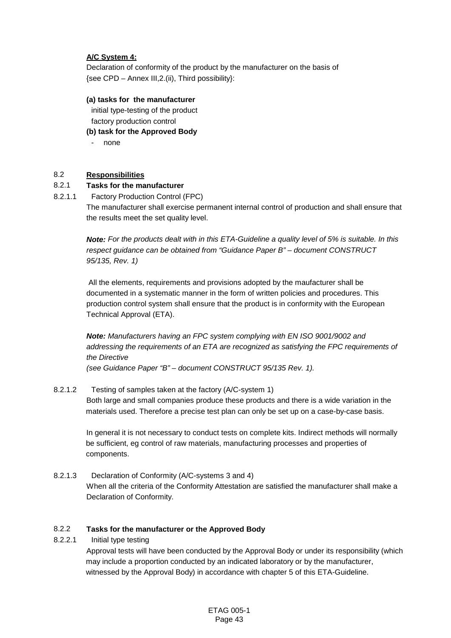## **A/C System 4:**

Declaration of conformity of the product by the manufacturer on the basis of {see CPD – Annex III,2.(ii), Third possibility}:

#### **(a) tasks for the manufacturer**

initial type-testing of the product factory production control

## **(b) task for the Approved Body**

- none

## 8.2 **Responsibilities**

## 8.2.1 **Tasks for the manufacturer**

8.2.1.1 Factory Production Control (FPC)

The manufacturer shall exercise permanent internal control of production and shall ensure that the results meet the set quality level.

*Note: For the products dealt with in this ETA-Guideline a quality level of 5% is suitable. In this respect guidance can be obtained from "Guidance Paper B" – document CONSTRUCT 95/135, Rev. 1)*

 All the elements, requirements and provisions adopted by the maufacturer shall be documented in a systematic manner in the form of written policies and procedures. This production control system shall ensure that the product is in conformity with the European Technical Approval (ETA).

*Note: Manufacturers having an FPC system complying with EN ISO 9001/9002 and addressing the requirements of an ETA are recognized as satisfying the FPC requirements of the Directive*

*(see Guidance Paper "B" – document CONSTRUCT 95/135 Rev. 1).*

## 8.2.1.2 Testing of samples taken at the factory (A/C-system 1) Both large and small companies produce these products and there is a wide variation in the materials used. Therefore a precise test plan can only be set up on a case-by-case basis.

In general it is not necessary to conduct tests on complete kits. Indirect methods will normally be sufficient, eg control of raw materials, manufacturing processes and properties of components.

8.2.1.3 Declaration of Conformity (A/C-systems 3 and 4) When all the criteria of the Conformity Attestation are satisfied the manufacturer shall make a Declaration of Conformity.

## 8.2.2 **Tasks for the manufacturer or the Approved Body**

8.2.2.1 Initial type testing

Approval tests will have been conducted by the Approval Body or under its responsibility (which may include a proportion conducted by an indicated laboratory or by the manufacturer, witnessed by the Approval Body) in accordance with chapter 5 of this ETA-Guideline.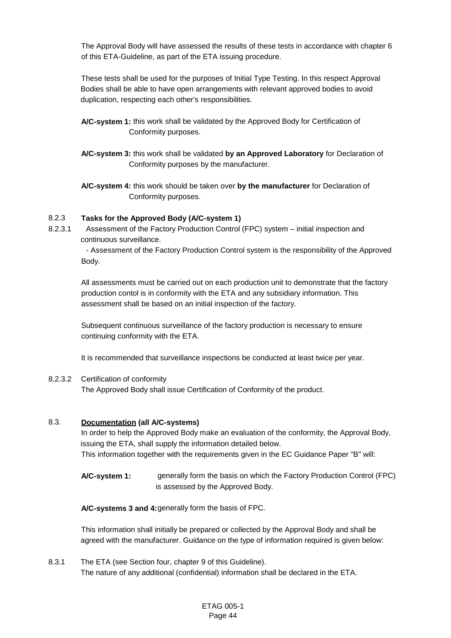The Approval Body will have assessed the results of these tests in accordance with chapter 6 of this ETA-Guideline, as part of the ETA issuing procedure.

These tests shall be used for the purposes of Initial Type Testing. In this respect Approval Bodies shall be able to have open arrangements with relevant approved bodies to avoid duplication, respecting each other's responsibilities.

- **A/C-system 1:** this work shall be validated by the Approved Body for Certification of Conformity purposes.
- **A/C-system 3:** this work shall be validated **by an Approved Laboratory** for Declaration of Conformity purposes by the manufacturer.
- **A/C-system 4:** this work should be taken over **by the manufacturer** for Declaration of Conformity purposes.

## 8.2.3 **Tasks for the Approved Body (A/C-system 1)**

8.2.3.1 Assessment of the Factory Production Control (FPC) system – initial inspection and continuous surveillance.

> - Assessment of the Factory Production Control system is the responsibility of the Approved Body.

> All assessments must be carried out on each production unit to demonstrate that the factory production contol is in conformity with the ETA and any subsidiary information. This assessment shall be based on an initial inspection of the factory.

Subsequent continuous surveillance of the factory production is necessary to ensure continuing conformity with the ETA.

It is recommended that surveillance inspections be conducted at least twice per year.

#### 8.2.3.2 Certification of conformity

The Approved Body shall issue Certification of Conformity of the product.

#### 8.3. **Documentation (all A/C-systems)**

In order to help the Approved Body make an evaluation of the conformity, the Approval Body, issuing the ETA, shall supply the information detailed below. This information together with the requirements given in the EC Guidance Paper "B" will:

**A/C-system 1:** generally form the basis on which the Factory Production Control (FPC) is assessed by the Approved Body.

**A/C-systems 3 and 4:**generally form the basis of FPC.

This information shall initially be prepared or collected by the Approval Body and shall be agreed with the manufacturer. Guidance on the type of information required is given below:

8.3.1 The ETA (see Section four, chapter 9 of this Guideline). The nature of any additional (confidential) information shall be declared in the ETA.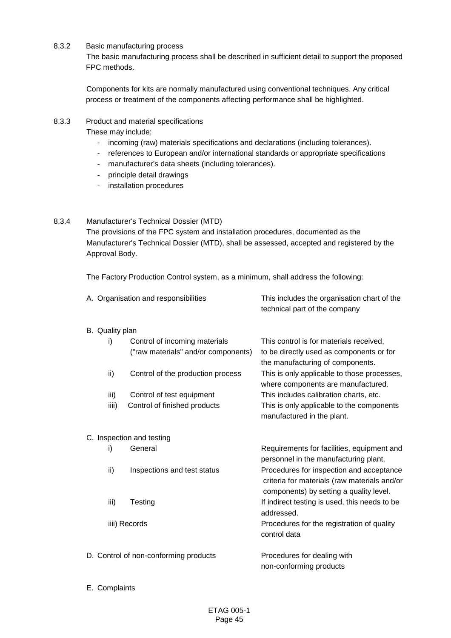#### 8.3.2 Basic manufacturing process

The basic manufacturing process shall be described in sufficient detail to support the proposed FPC methods.

Components for kits are normally manufactured using conventional techniques. Any critical process or treatment of the components affecting performance shall be highlighted.

8.3.3 Product and material specifications

These may include:

- incoming (raw) materials specifications and declarations (including tolerances).
- references to European and/or international standards or appropriate specifications
- manufacturer's data sheets (including tolerances).
- principle detail drawings
- installation procedures

## 8.3.4 Manufacturer's Technical Dossier (MTD)

The provisions of the FPC system and installation procedures, documented as the Manufacturer's Technical Dossier (MTD), shall be assessed, accepted and registered by the Approval Body.

The Factory Production Control system, as a minimum, shall address the following:

|                                       | A. Organisation and responsibilities |                                                                      | This includes the organisation chart of the<br>technical part of the company                                                        |
|---------------------------------------|--------------------------------------|----------------------------------------------------------------------|-------------------------------------------------------------------------------------------------------------------------------------|
|                                       | B. Quality plan                      |                                                                      |                                                                                                                                     |
|                                       | i)                                   | Control of incoming materials<br>("raw materials" and/or components) | This control is for materials received,<br>to be directly used as components or for<br>the manufacturing of components.             |
|                                       | ii)                                  | Control of the production process                                    | This is only applicable to those processes,<br>where components are manufactured.                                                   |
|                                       | iii)                                 | Control of test equipment                                            | This includes calibration charts, etc.                                                                                              |
|                                       | iiii)                                | Control of finished products                                         | This is only applicable to the components<br>manufactured in the plant.                                                             |
| C. Inspection and testing             |                                      |                                                                      |                                                                                                                                     |
|                                       | i)                                   | General                                                              | Requirements for facilities, equipment and<br>personnel in the manufacturing plant.                                                 |
|                                       | ii)                                  | Inspections and test status                                          | Procedures for inspection and acceptance<br>criteria for materials (raw materials and/or<br>components) by setting a quality level. |
|                                       | iii)                                 | Testing                                                              | If indirect testing is used, this needs to be<br>addressed.                                                                         |
|                                       |                                      | iiii) Records                                                        | Procedures for the registration of quality<br>control data                                                                          |
| D. Control of non-conforming products |                                      |                                                                      | Procedures for dealing with<br>non-conforming products                                                                              |

E. Complaints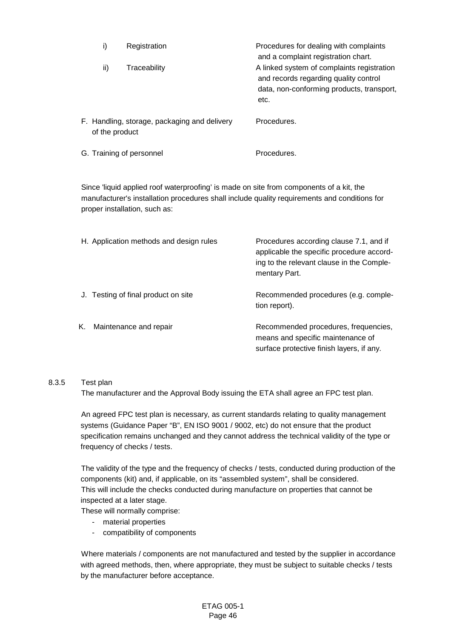|                                                                | i)  | Registration | Procedures for dealing with complaints<br>and a complaint registration chart.                                                            |
|----------------------------------------------------------------|-----|--------------|------------------------------------------------------------------------------------------------------------------------------------------|
|                                                                | ii) | Traceability | A linked system of complaints registration<br>and records regarding quality control<br>data, non-conforming products, transport,<br>etc. |
| F. Handling, storage, packaging and delivery<br>of the product |     |              | Procedures.                                                                                                                              |
| G. Training of personnel                                       |     |              | Procedures.                                                                                                                              |

Since 'liquid applied roof waterproofing' is made on site from components of a kit, the manufacturer's installation procedures shall include quality requirements and conditions for proper installation, such as:

| H. Application methods and design rules | Procedures according clause 7.1, and if<br>applicable the specific procedure accord-<br>ing to the relevant clause in the Comple-<br>mentary Part. |
|-----------------------------------------|----------------------------------------------------------------------------------------------------------------------------------------------------|
| J. Testing of final product on site     | Recommended procedures (e.g. comple-<br>tion report).                                                                                              |
| Maintenance and repair<br>Κ.            | Recommended procedures, frequencies,<br>means and specific maintenance of<br>surface protective finish layers, if any.                             |

#### 8.3.5 Test plan

The manufacturer and the Approval Body issuing the ETA shall agree an FPC test plan.

An agreed FPC test plan is necessary, as current standards relating to quality management systems (Guidance Paper "B", EN ISO 9001 / 9002, etc) do not ensure that the product specification remains unchanged and they cannot address the technical validity of the type or frequency of checks / tests.

The validity of the type and the frequency of checks / tests, conducted during production of the components (kit) and, if applicable, on its "assembled system", shall be considered. This will include the checks conducted during manufacture on properties that cannot be inspected at a later stage.

These will normally comprise:

- material properties
- compatibility of components

Where materials / components are not manufactured and tested by the supplier in accordance with agreed methods, then, where appropriate, they must be subject to suitable checks / tests by the manufacturer before acceptance.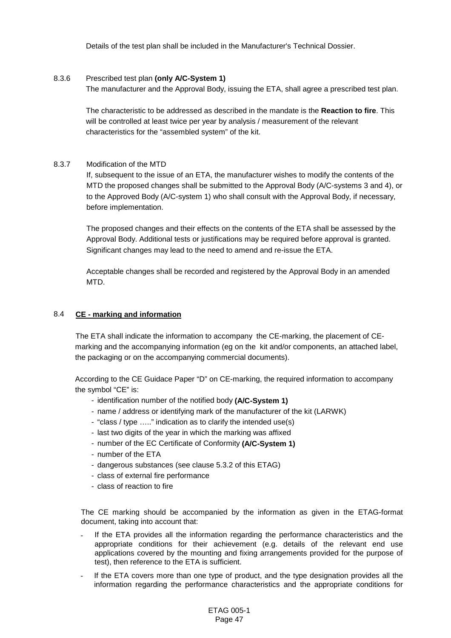Details of the test plan shall be included in the Manufacturer's Technical Dossier.

#### 8.3.6 Prescribed test plan **(only A/C-System 1)**

The manufacturer and the Approval Body, issuing the ETA, shall agree a prescribed test plan.

The characteristic to be addressed as described in the mandate is the **Reaction to fire**. This will be controlled at least twice per year by analysis / measurement of the relevant characteristics for the "assembled system" of the kit.

#### 8.3.7 Modification of the MTD

If, subsequent to the issue of an ETA, the manufacturer wishes to modify the contents of the MTD the proposed changes shall be submitted to the Approval Body (A/C-systems 3 and 4), or to the Approved Body (A/C-system 1) who shall consult with the Approval Body, if necessary, before implementation.

The proposed changes and their effects on the contents of the ETA shall be assessed by the Approval Body. Additional tests or justifications may be required before approval is granted. Significant changes may lead to the need to amend and re-issue the ETA.

Acceptable changes shall be recorded and registered by the Approval Body in an amended MTD.

#### 8.4 **CE - marking and information**

The ETA shall indicate the information to accompany the CE-marking, the placement of CEmarking and the accompanying information (eg on the kit and/or components, an attached label, the packaging or on the accompanying commercial documents).

According to the CE Guidace Paper "D" on CE-marking, the required information to accompany the symbol "CE" is:

- identification number of the notified body **(A/C-System 1)**
- name / address or identifying mark of the manufacturer of the kit (LARWK)
- "class / type ….." indication as to clarify the intended use(s)
- last two digits of the year in which the marking was affixed
- number of the EC Certificate of Conformity **(A/C-System 1)**
- number of the ETA
- dangerous substances (see clause 5.3.2 of this ETAG)
- class of external fire performance
- class of reaction to fire

The CE marking should be accompanied by the information as given in the ETAG-format document, taking into account that:

- If the ETA provides all the information regarding the performance characteristics and the appropriate conditions for their achievement (e.g. details of the relevant end use applications covered by the mounting and fixing arrangements provided for the purpose of test), then reference to the ETA is sufficient.
- If the ETA covers more than one type of product, and the type designation provides all the information regarding the performance characteristics and the appropriate conditions for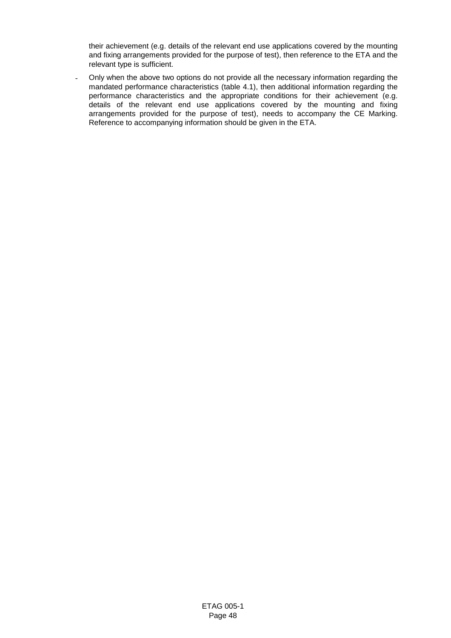their achievement (e.g. details of the relevant end use applications covered by the mounting and fixing arrangements provided for the purpose of test), then reference to the ETA and the relevant type is sufficient.

Only when the above two options do not provide all the necessary information regarding the mandated performance characteristics (table 4.1), then additional information regarding the performance characteristics and the appropriate conditions for their achievement (e.g. details of the relevant end use applications covered by the mounting and fixing arrangements provided for the purpose of test), needs to accompany the CE Marking. Reference to accompanying information should be given in the ETA.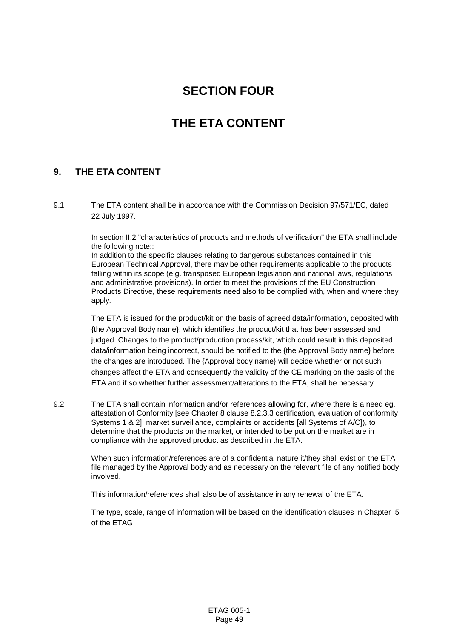# **SECTION FOUR**

# **THE ETA CONTENT**

## **9. THE ETA CONTENT**

9.1 The ETA content shall be in accordance with the Commission Decision 97/571/EC, dated 22 July 1997.

> In section II.2 "characteristics of products and methods of verification" the ETA shall include the following note::

> In addition to the specific clauses relating to dangerous substances contained in this European Technical Approval, there may be other requirements applicable to the products falling within its scope (e.g. transposed European legislation and national laws, regulations and administrative provisions). In order to meet the provisions of the EU Construction Products Directive, these requirements need also to be complied with, when and where they apply.

> The ETA is issued for the product/kit on the basis of agreed data/information, deposited with {the Approval Body name}, which identifies the product/kit that has been assessed and judged. Changes to the product/production process/kit, which could result in this deposited data/information being incorrect, should be notified to the {the Approval Body name} before the changes are introduced. The {Approval body name} will decide whether or not such changes affect the ETA and consequently the validity of the CE marking on the basis of the ETA and if so whether further assessment/alterations to the ETA, shall be necessary.

9.2 The ETA shall contain information and/or references allowing for, where there is a need eg. attestation of Conformity [see Chapter 8 clause 8.2.3.3 certification, evaluation of conformity Systems 1 & 2], market surveillance, complaints or accidents [all Systems of A/C]), to determine that the products on the market, or intended to be put on the market are in compliance with the approved product as described in the ETA.

> When such information/references are of a confidential nature it/they shall exist on the ETA file managed by the Approval body and as necessary on the relevant file of any notified body involved.

This information/references shall also be of assistance in any renewal of the ETA.

The type, scale, range of information will be based on the identification clauses in Chapter 5 of the ETAG.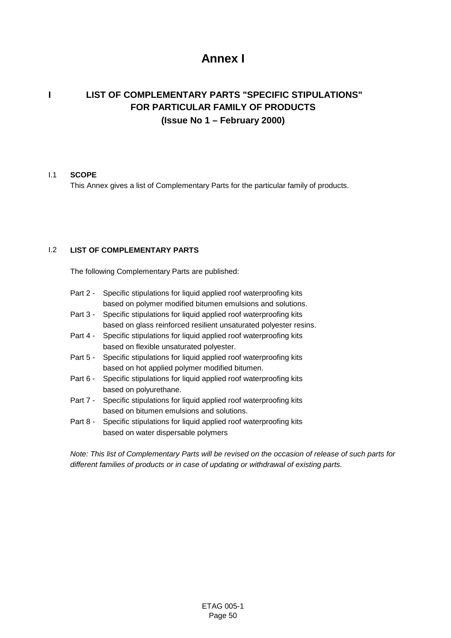# **Annex I**

# **I LIST OF COMPLEMENTARY PARTS "SPECIFIC STIPULATIONS" FOR PARTICULAR FAMILY OF PRODUCTS (Issue No 1 – February 2000)**

#### I.1 **SCOPE**

This Annex gives a list of Complementary Parts for the particular family of products.

## I.2 **LIST OF COMPLEMENTARY PARTS**

The following Complementary Parts are published:

- Part 2 Specific stipulations for liquid applied roof waterproofing kits based on polymer modified bitumen emulsions and solutions.
- Part 3 Specific stipulations for liquid applied roof waterproofing kits based on glass reinforced resilient unsaturated polyester resins.
- Part 4 Specific stipulations for liquid applied roof waterproofing kits based on flexible unsaturated polyester.
- Part 5 Specific stipulations for liquid applied roof waterproofing kits based on hot applied polymer modified bitumen.
- Part 6 Specific stipulations for liquid applied roof waterproofing kits based on polyurethane.
- Part 7 Specific stipulations for liquid applied roof waterproofing kits based on bitumen emulsions and solutions.
- Part 8 Specific stipulations for liquid applied roof waterproofing kits based on water dispersable polymers

*Note: This list of Complementary Parts will be revised on the occasion of release of such parts for different families of products or in case of updating or withdrawal of existing parts.*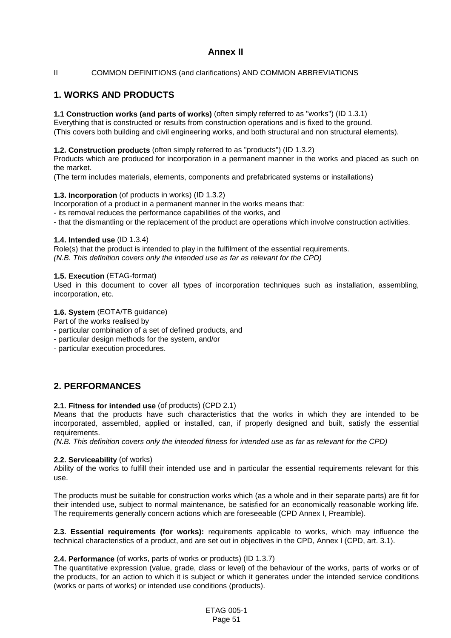# **Annex II**

#### II COMMON DEFINITIONS (and clarifications) AND COMMON ABBREVIATIONS

# **1. WORKS AND PRODUCTS**

#### **1.1 Construction works (and parts of works)** (often simply referred to as "works") (ID 1.3.1)

Everything that is constructed or results from construction operations and is fixed to the ground. (This covers both building and civil engineering works, and both structural and non structural elements).

#### **1.2. Construction products** (often simply referred to as "products") (ID 1.3.2)

Products which are produced for incorporation in a permanent manner in the works and placed as such on the market.

(The term includes materials, elements, components and prefabricated systems or installations)

#### **1.3. Incorporation** (of products in works) (ID 1.3.2)

Incorporation of a product in a permanent manner in the works means that:

- its removal reduces the performance capabilities of the works, and

- that the dismantling or the replacement of the product are operations which involve construction activities.

#### **1.4. Intended use** (ID 1.3.4)

Role(s) that the product is intended to play in the fulfilment of the essential requirements. *(N.B. This definition covers only the intended use as far as relevant for the CPD)*

#### **1.5. Execution** (ETAG-format)

Used in this document to cover all types of incorporation techniques such as installation, assembling, incorporation, etc.

#### **1.6. System** (EOTA/TB guidance)

Part of the works realised by

- particular combination of a set of defined products, and
- particular design methods for the system, and/or
- particular execution procedures.

## **2. PERFORMANCES**

## **2.1. Fitness for intended use** (of products) (CPD 2.1)

Means that the products have such characteristics that the works in which they are intended to be incorporated, assembled, applied or installed, can, if properly designed and built, satisfy the essential requirements.

*(N.B. This definition covers only the intended fitness for intended use as far as relevant for the CPD)*

#### **2.2. Serviceability** (of works)

Ability of the works to fulfill their intended use and in particular the essential requirements relevant for this use.

The products must be suitable for construction works which (as a whole and in their separate parts) are fit for their intended use, subject to normal maintenance, be satisfied for an economically reasonable working life. The requirements generally concern actions which are foreseeable (CPD Annex I, Preamble).

**2.3. Essential requirements (for works):** requirements applicable to works, which may influence the technical characteristics of a product, and are set out in objectives in the CPD, Annex I (CPD, art. 3.1).

#### **2.4. Performance** (of works, parts of works or products) (ID 1.3.7)

The quantitative expression (value, grade, class or level) of the behaviour of the works, parts of works or of the products, for an action to which it is subject or which it generates under the intended service conditions (works or parts of works) or intended use conditions (products).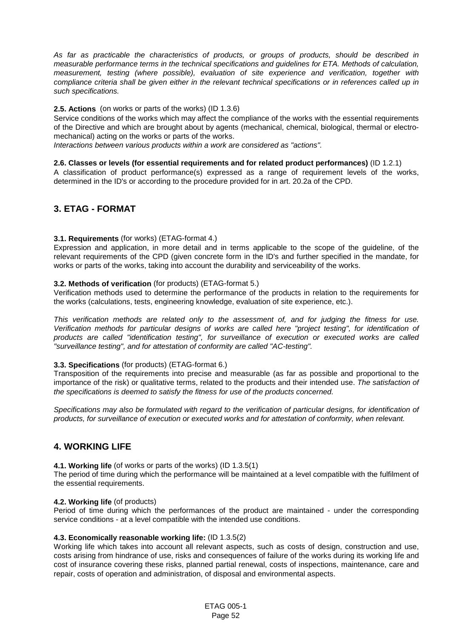*As far as practicable the characteristics of products, or groups of products, should be described in measurable performance terms in the technical specifications and guidelines for ETA. Methods of calculation, measurement, testing (where possible), evaluation of site experience and verification, together with compliance criteria shall be given either in the relevant technical specifications or in references called up in such specifications.*

#### **2.5. Actions** (on works or parts of the works) (ID 1.3.6)

Service conditions of the works which may affect the compliance of the works with the essential requirements of the Directive and which are brought about by agents (mechanical, chemical, biological, thermal or electromechanical) acting on the works or parts of the works.

*Interactions between various products within a work are considered as "actions".*

#### **2.6. Classes or levels (for essential requirements and for related product performances)** (ID 1.2.1)

A classification of product performance(s) expressed as a range of requirement levels of the works, determined in the ID's or according to the procedure provided for in art. 20.2a of the CPD.

## **3. ETAG - FORMAT**

#### **3.1. Requirements** (for works) (ETAG-format 4.)

Expression and application, in more detail and in terms applicable to the scope of the guideline, of the relevant requirements of the CPD (given concrete form in the ID's and further specified in the mandate, for works or parts of the works, taking into account the durability and serviceability of the works.

#### **3.2. Methods of verification** (for products) (ETAG-format 5.)

Verification methods used to determine the performance of the products in relation to the requirements for the works (calculations, tests, engineering knowledge, evaluation of site experience, etc.).

*This verification methods are related only to the assessment of, and for judging the fitness for use. Verification methods for particular designs of works are called here "project testing", for identification of products are called "identification testing", for surveillance of execution or executed works are called "surveillance testing", and for attestation of conformity are called "AC-testing".*

#### **3.3. Specifications** (for products) (ETAG-format 6.)

Transposition of the requirements into precise and measurable (as far as possible and proportional to the importance of the risk) or qualitative terms, related to the products and their intended use. *The satisfaction of the specifications is deemed to satisfy the fitness for use of the products concerned.*

*Specifications may also be formulated with regard to the verification of particular designs, for identification of products, for surveillance of execution or executed works and for attestation of conformity, when relevant.*

## **4. WORKING LIFE**

#### **4.1. Working life** (of works or parts of the works) (ID 1.3.5(1)

The period of time during which the performance will be maintained at a level compatible with the fulfilment of the essential requirements.

#### **4.2. Working life** (of products)

Period of time during which the performances of the product are maintained - under the corresponding service conditions - at a level compatible with the intended use conditions.

#### **4.3. Economically reasonable working life:** (ID 1.3.5(2)

Working life which takes into account all relevant aspects, such as costs of design, construction and use, costs arising from hindrance of use, risks and consequences of failure of the works during its working life and cost of insurance covering these risks, planned partial renewal, costs of inspections, maintenance, care and repair, costs of operation and administration, of disposal and environmental aspects.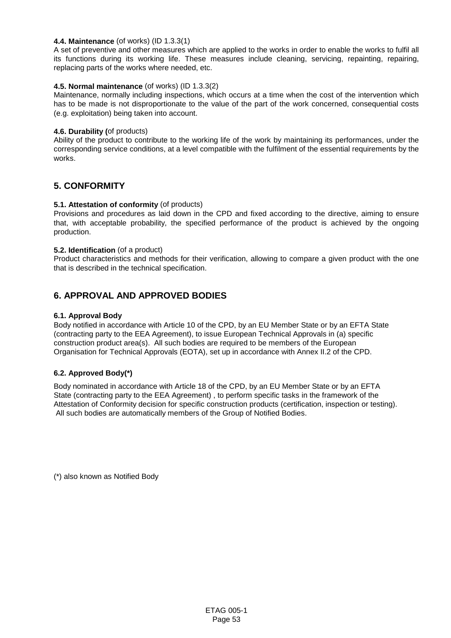#### **4.4. Maintenance** (of works) (ID 1.3.3(1)

A set of preventive and other measures which are applied to the works in order to enable the works to fulfil all its functions during its working life. These measures include cleaning, servicing, repainting, repairing, replacing parts of the works where needed, etc.

#### **4.5. Normal maintenance** (of works) (ID 1.3.3(2)

Maintenance, normally including inspections, which occurs at a time when the cost of the intervention which has to be made is not disproportionate to the value of the part of the work concerned, consequential costs (e.g. exploitation) being taken into account.

#### **4.6. Durability (**of products)

Ability of the product to contribute to the working life of the work by maintaining its performances, under the corresponding service conditions, at a level compatible with the fulfilment of the essential requirements by the works.

# **5. CONFORMITY**

## **5.1. Attestation of conformity** (of products)

Provisions and procedures as laid down in the CPD and fixed according to the directive, aiming to ensure that, with acceptable probability, the specified performance of the product is achieved by the ongoing production.

#### **5.2. Identification** (of a product)

Product characteristics and methods for their verification, allowing to compare a given product with the one that is described in the technical specification.

# **6. APPROVAL AND APPROVED BODIES**

#### **6.1. Approval Body**

Body notified in accordance with Article 10 of the CPD, by an EU Member State or by an EFTA State (contracting party to the EEA Agreement), to issue European Technical Approvals in (a) specific construction product area(s). All such bodies are required to be members of the European Organisation for Technical Approvals (EOTA), set up in accordance with Annex II.2 of the CPD.

#### **6.2. Approved Body(\*)**

Body nominated in accordance with Article 18 of the CPD, by an EU Member State or by an EFTA State (contracting party to the EEA Agreement) , to perform specific tasks in the framework of the Attestation of Conformity decision for specific construction products (certification, inspection or testing). All such bodies are automatically members of the Group of Notified Bodies.

(\*) also known as Notified Body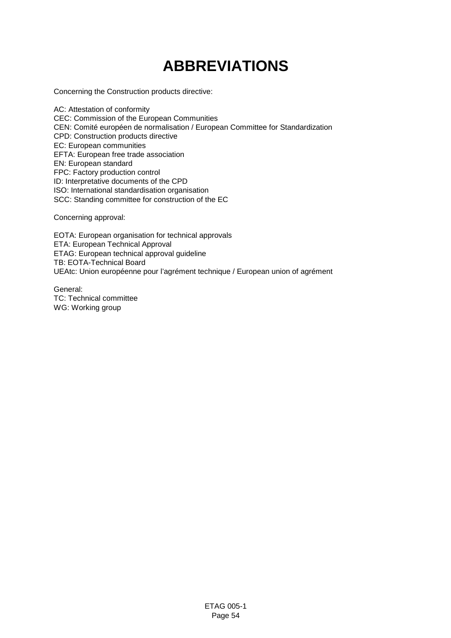# **ABBREVIATIONS**

Concerning the Construction products directive:

AC: Attestation of conformity CEC: Commission of the European Communities CEN: Comité européen de normalisation / European Committee for Standardization CPD: Construction products directive EC: European communities EFTA: European free trade association EN: European standard FPC: Factory production control ID: Interpretative documents of the CPD ISO: International standardisation organisation SCC: Standing committee for construction of the EC

Concerning approval:

EOTA: European organisation for technical approvals ETA: European Technical Approval ETAG: European technical approval guideline TB: EOTA-Technical Board UEAtc: Union européenne pour l'agrément technique / European union of agrément

General: TC: Technical committee WG: Working group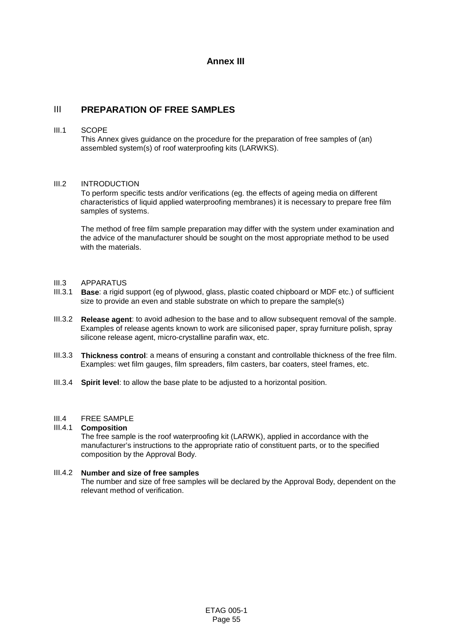## **Annex III**

# III **PREPARATION OF FREE SAMPLES**

#### III.1 SCOPE

This Annex gives guidance on the procedure for the preparation of free samples of (an) assembled system(s) of roof waterproofing kits (LARWKS).

#### III.2 INTRODUCTION

To perform specific tests and/or verifications (eg. the effects of ageing media on different characteristics of liquid applied waterproofing membranes) it is necessary to prepare free film samples of systems.

The method of free film sample preparation may differ with the system under examination and the advice of the manufacturer should be sought on the most appropriate method to be used with the materials.

#### III.3 APPARATUS

- III.3.1 **Base**: a rigid support (eg of plywood, glass, plastic coated chipboard or MDF etc.) of sufficient size to provide an even and stable substrate on which to prepare the sample(s)
- III.3.2 **Release agent**: to avoid adhesion to the base and to allow subsequent removal of the sample. Examples of release agents known to work are siliconised paper, spray furniture polish, spray silicone release agent, micro-crystalline parafin wax, etc.
- III.3.3 **Thickness control**: a means of ensuring a constant and controllable thickness of the free film. Examples: wet film gauges, film spreaders, film casters, bar coaters, steel frames, etc.
- III.3.4 **Spirit level**: to allow the base plate to be adjusted to a horizontal position.

#### III.4 FREE SAMPLE

#### III.4.1 **Composition**

The free sample is the roof waterproofing kit (LARWK), applied in accordance with the manufacturer's instructions to the appropriate ratio of constituent parts, or to the specified composition by the Approval Body.

#### III.4.2 **Number and size of free samples**

The number and size of free samples will be declared by the Approval Body, dependent on the relevant method of verification.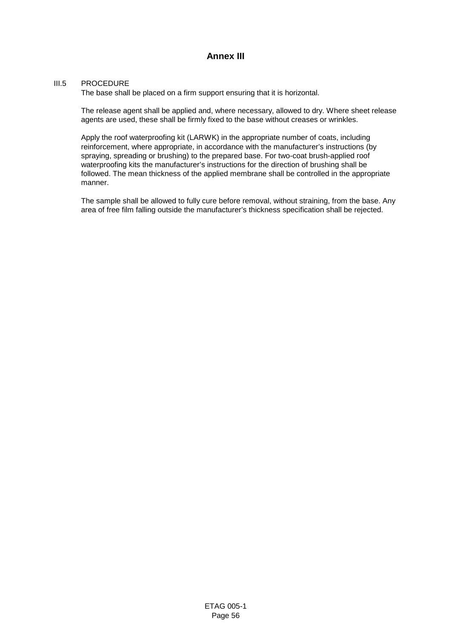## **Annex III**

#### III.5 PROCEDURE

The base shall be placed on a firm support ensuring that it is horizontal.

The release agent shall be applied and, where necessary, allowed to dry. Where sheet release agents are used, these shall be firmly fixed to the base without creases or wrinkles.

Apply the roof waterproofing kit (LARWK) in the appropriate number of coats, including reinforcement, where appropriate, in accordance with the manufacturer's instructions (by spraying, spreading or brushing) to the prepared base. For two-coat brush-applied roof waterproofing kits the manufacturer's instructions for the direction of brushing shall be followed. The mean thickness of the applied membrane shall be controlled in the appropriate manner.

The sample shall be allowed to fully cure before removal, without straining, from the base. Any area of free film falling outside the manufacturer's thickness specification shall be rejected.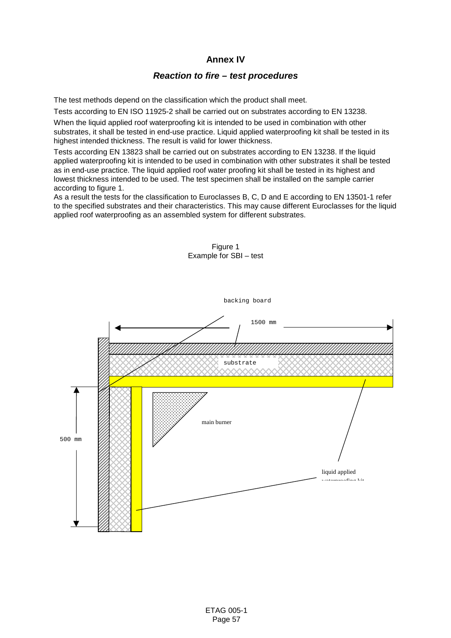## **Annex IV**

## *Reaction to fire – test procedures*

The test methods depend on the classification which the product shall meet.

Tests according to EN ISO 11925-2 shall be carried out on substrates according to EN 13238.

When the liquid applied roof waterproofing kit is intended to be used in combination with other substrates, it shall be tested in end-use practice. Liquid applied waterproofing kit shall be tested in its highest intended thickness. The result is valid for lower thickness.

Tests according EN 13823 shall be carried out on substrates according to EN 13238. If the liquid applied waterproofing kit is intended to be used in combination with other substrates it shall be tested as in end-use practice. The liquid applied roof water proofing kit shall be tested in its highest and lowest thickness intended to be used. The test specimen shall be installed on the sample carrier according to figure 1.

As a result the tests for the classification to Euroclasses B, C, D and E according to EN 13501-1 refer to the specified substrates and their characteristics. This may cause different Euroclasses for the liquid applied roof waterproofing as an assembled system for different substrates.